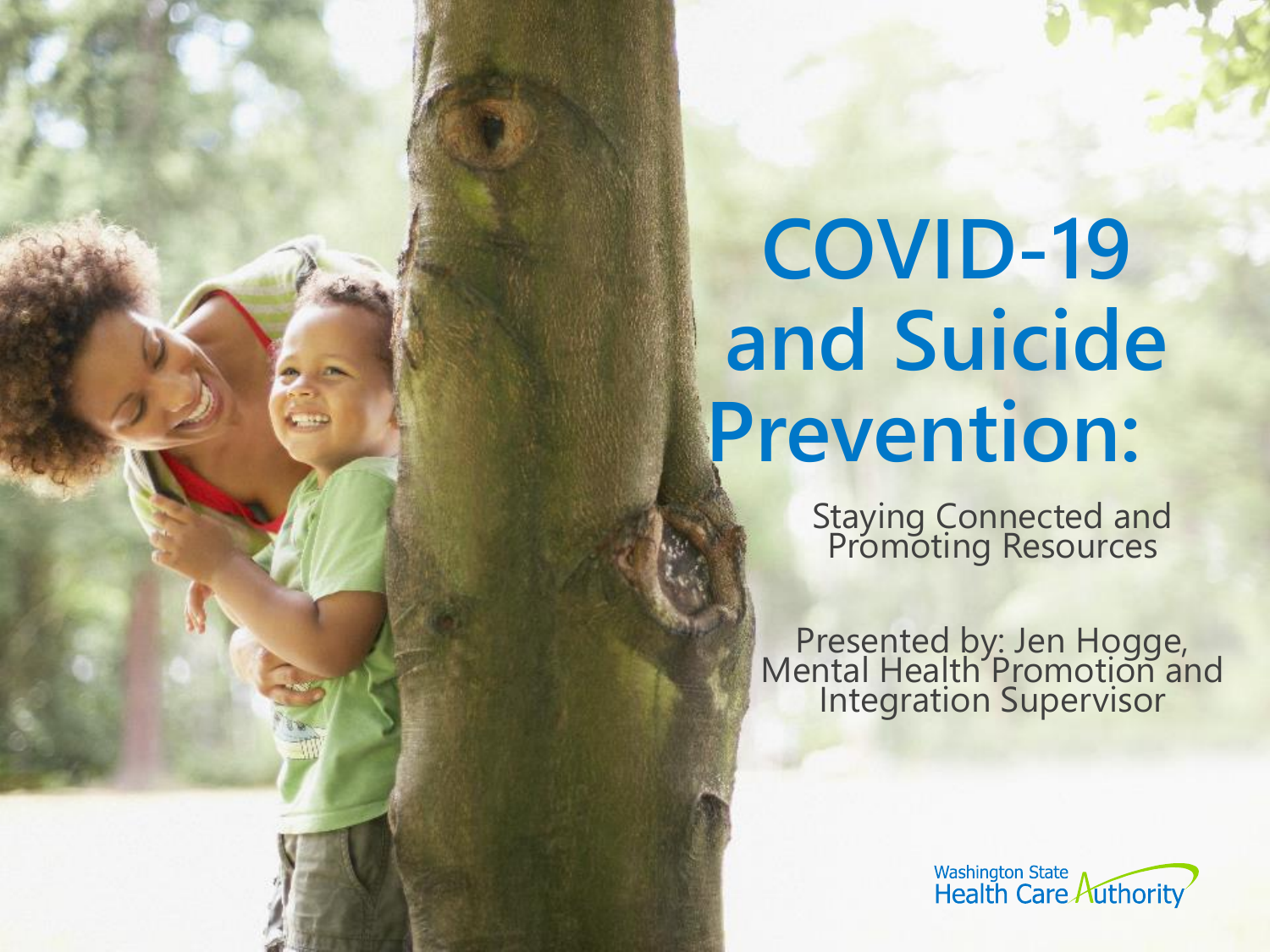# **COVID-19 and Suicide Prevention:**

Staying Connected and Promoting Resources

Presented by: Jen Hogge, Mental Health Promotion and Integration Supervisor

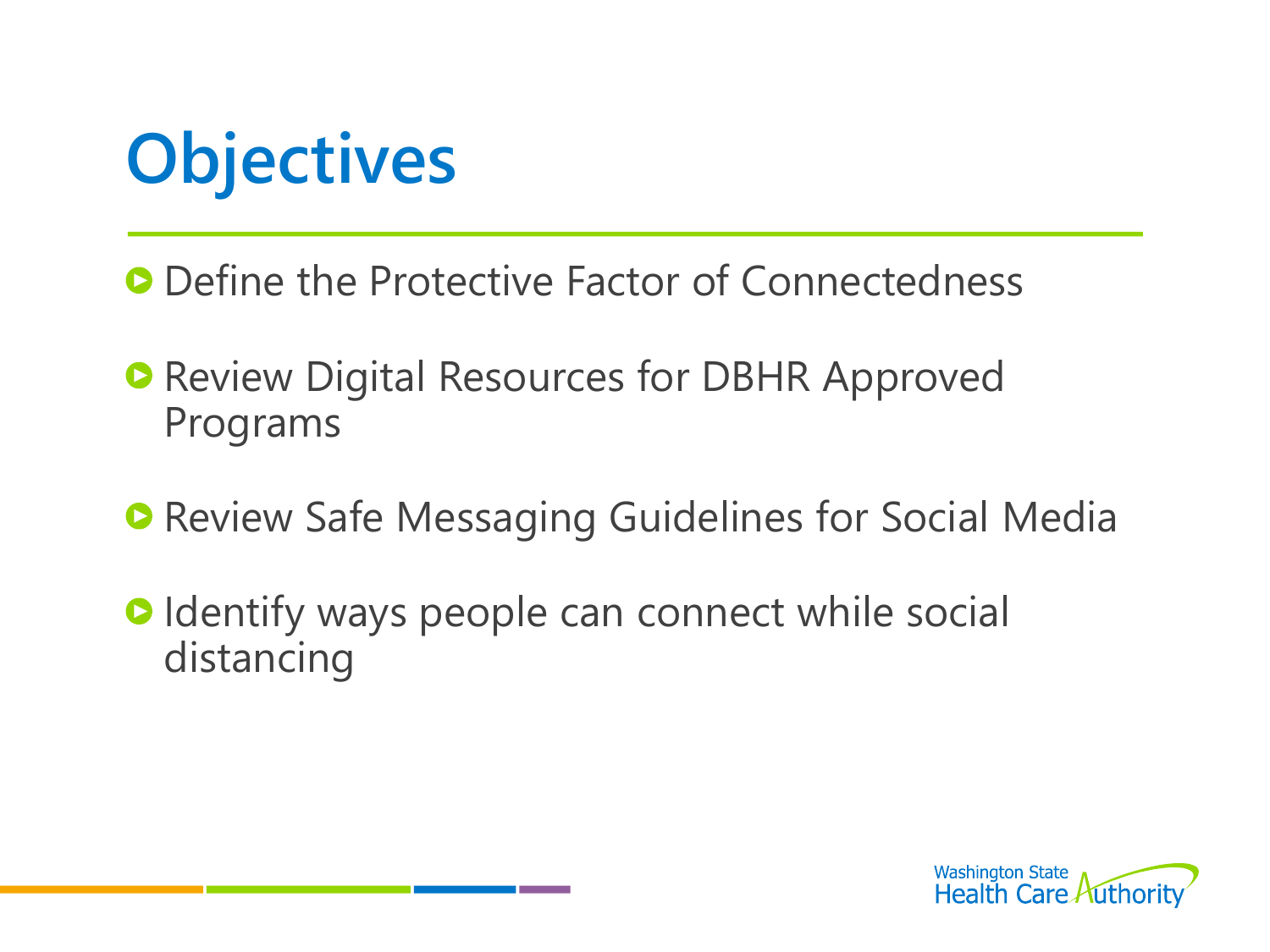

- **O** Define the Protective Factor of Connectedness
- **Review Digital Resources for DBHR Approved** Programs
- **Review Safe Messaging Guidelines for Social Media**
- **O** Identify ways people can connect while social distancing

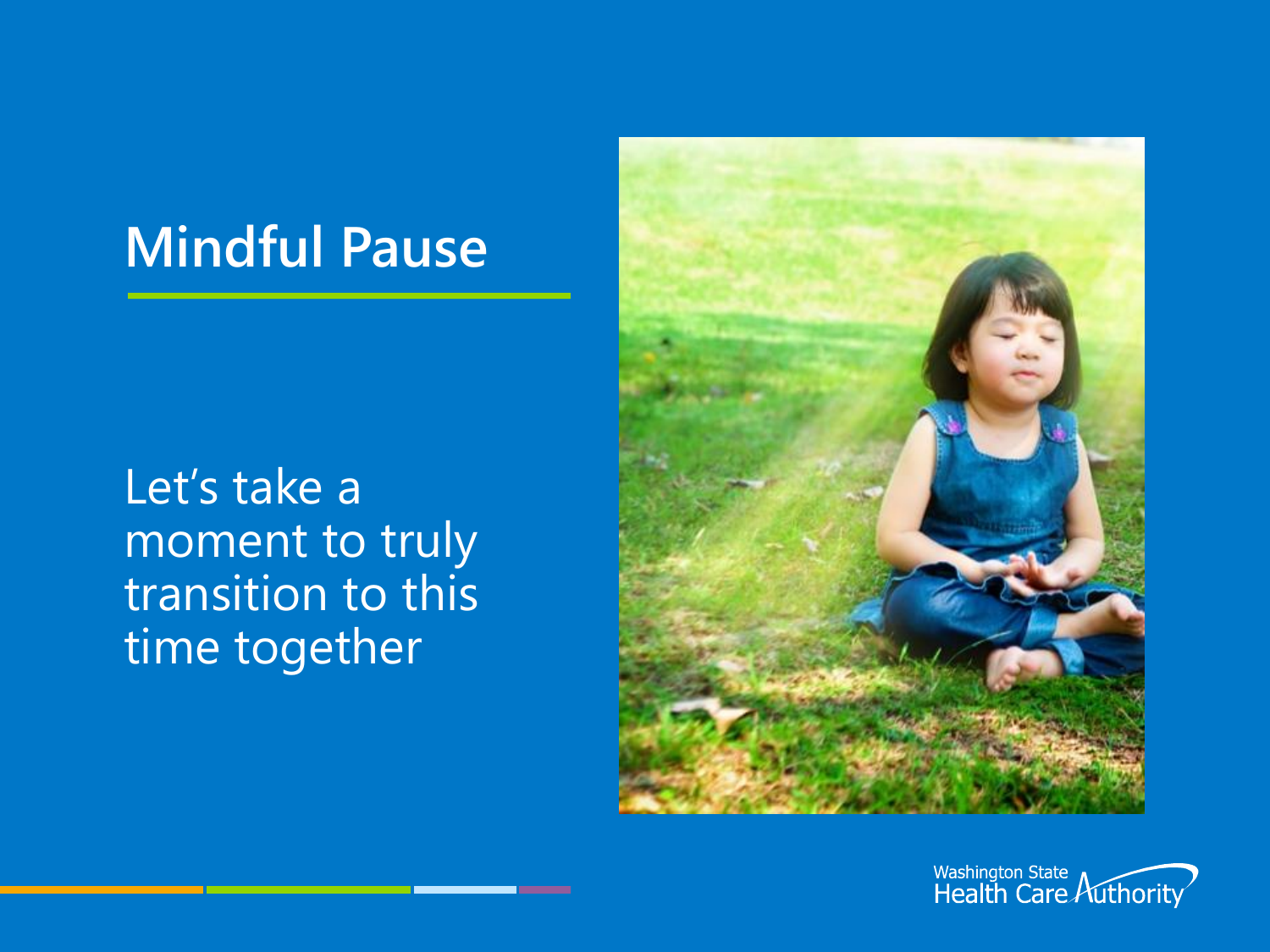#### **Mindful Pause**

Let's take a moment to truly transition to this time together



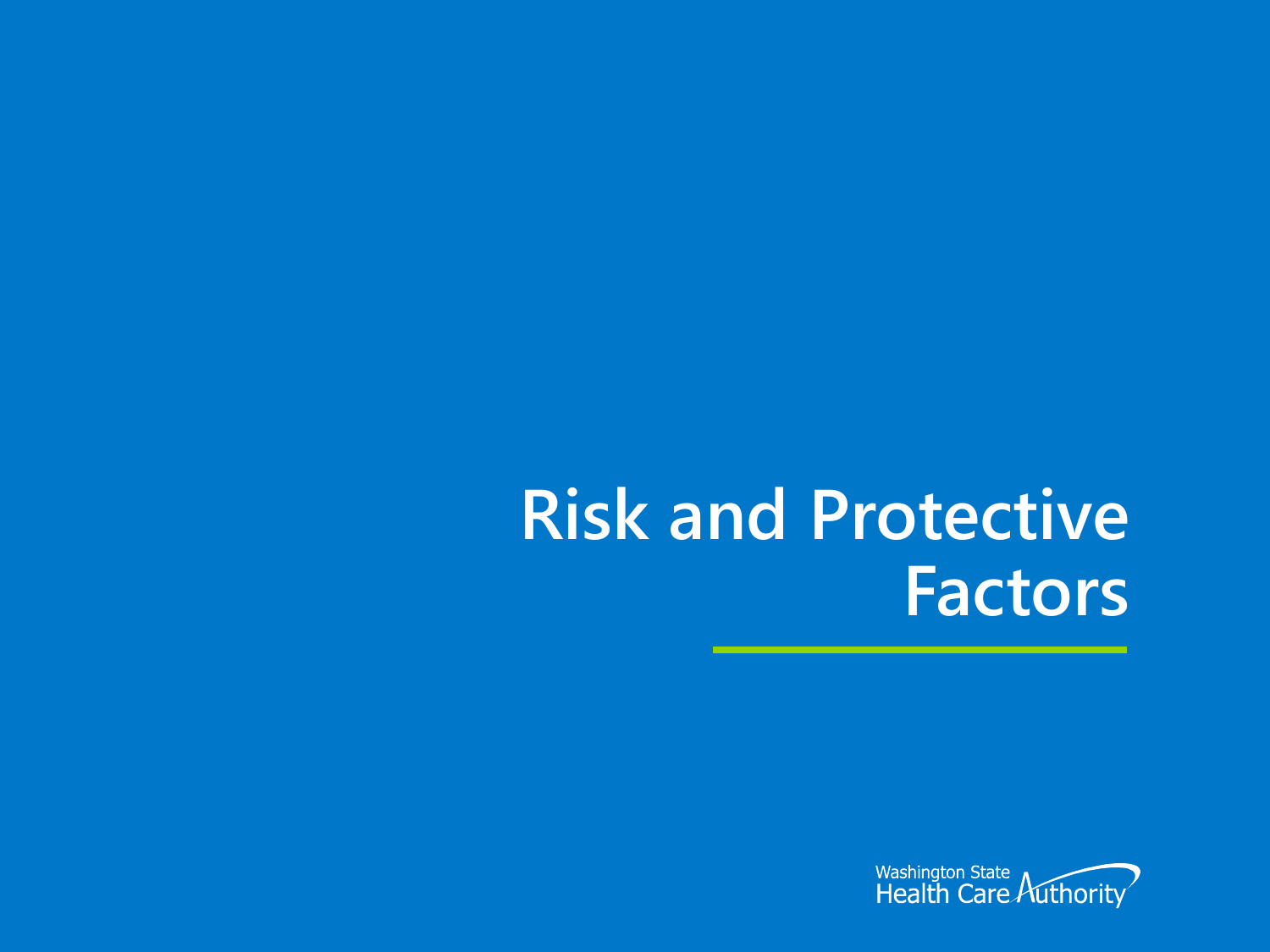### **Risk and Protective Factors**

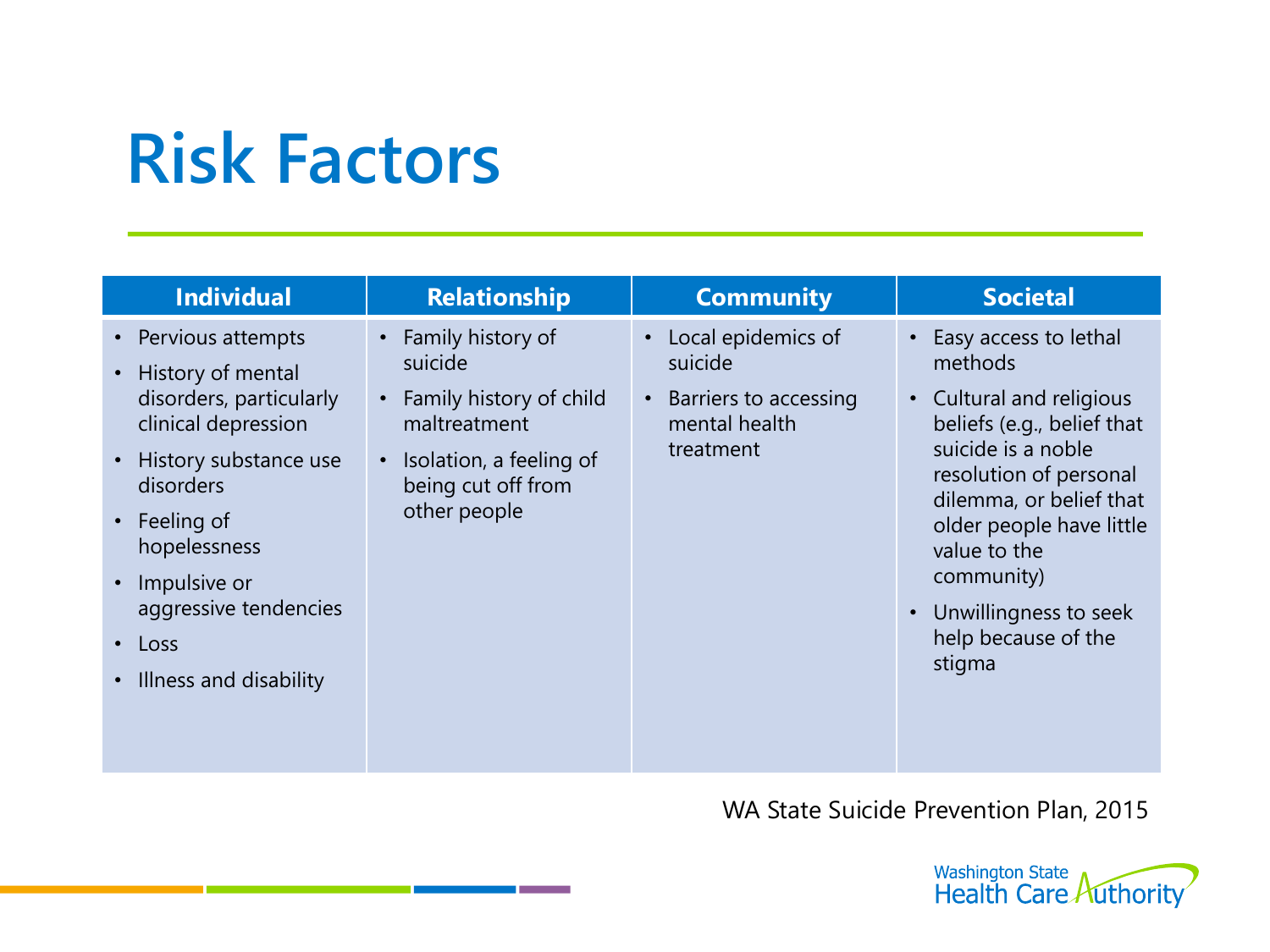### **Risk Factors**

| • Local epidemics of<br>Family history of<br>• Easy access to lethal<br>• Pervious attempts<br>methods<br>suicide<br>suicide<br>• History of mental<br>disorders, particularly<br>Family history of child<br>• Cultural and religious<br>Barriers to accessing<br>$\bullet$<br>clinical depression<br>mental health<br>maltreatment                                        | <b>Individual</b> | <b>Relationship</b> | <b>Community</b> | <b>Societal</b>                                                                                         |
|----------------------------------------------------------------------------------------------------------------------------------------------------------------------------------------------------------------------------------------------------------------------------------------------------------------------------------------------------------------------------|-------------------|---------------------|------------------|---------------------------------------------------------------------------------------------------------|
| History substance use<br>Isolation, a feeling of<br>$\bullet$<br>$\bullet$<br>resolution of personal<br>being cut off from<br>disorders<br>other people<br>$\cdot$ Feeling of<br>hopelessness<br>value to the<br>community)<br>• Impulsive or<br>aggressive tendencies<br>Unwillingness to seek<br>help because of the<br>$\cdot$ Loss<br>stigma<br>Illness and disability |                   |                     | treatment        | beliefs (e.g., belief that<br>suicide is a noble<br>dilemma, or belief that<br>older people have little |

WA State Suicide Prevention Plan, 2015

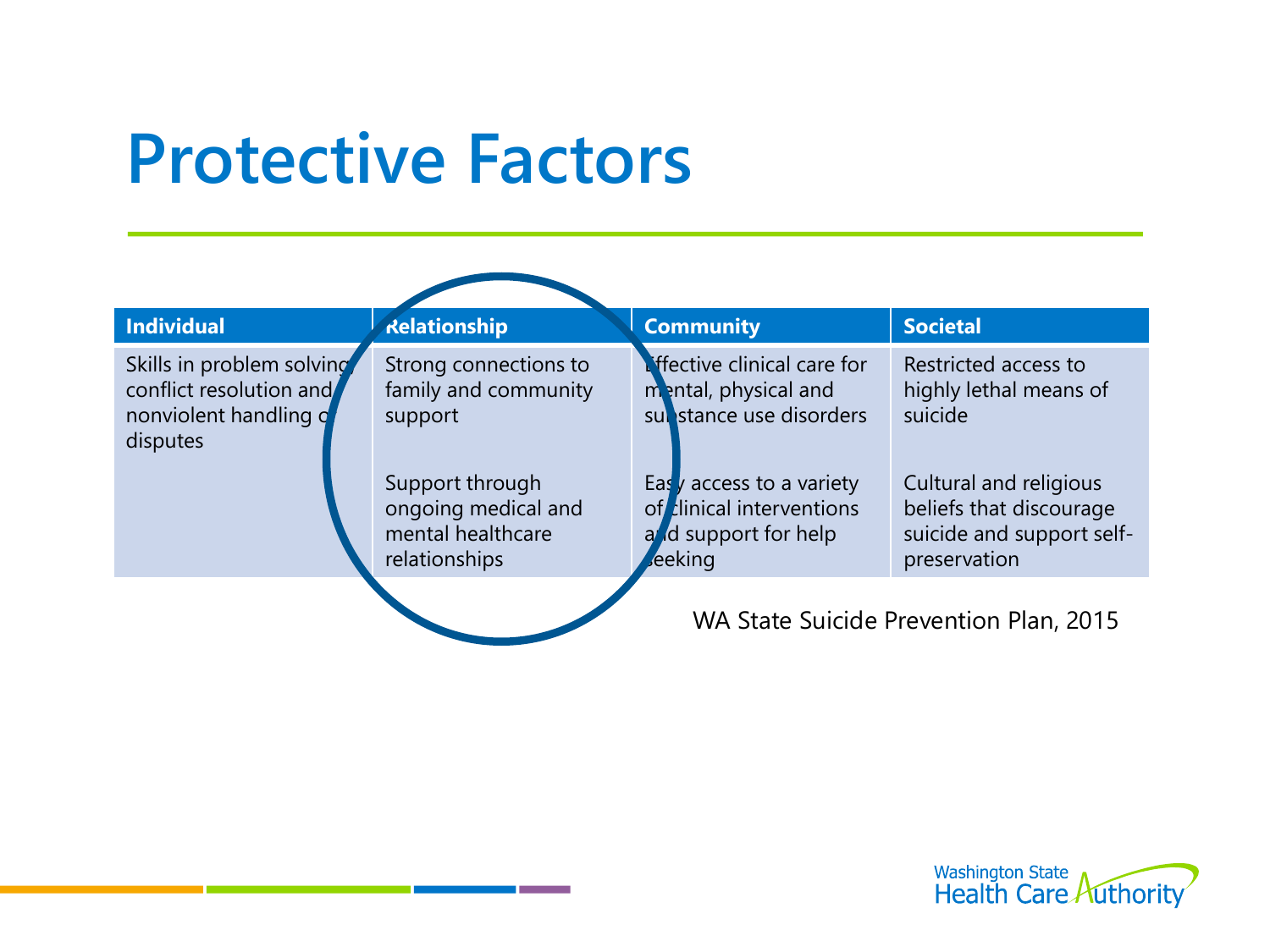### **Protective Factors**

| <b>Individual</b>                                                                          | <b>Relationship</b>                                                                                                     | <b>Community</b>                                                                                                                                                                      | <b>Societal</b>                                                                                                                             |
|--------------------------------------------------------------------------------------------|-------------------------------------------------------------------------------------------------------------------------|---------------------------------------------------------------------------------------------------------------------------------------------------------------------------------------|---------------------------------------------------------------------------------------------------------------------------------------------|
| Skills in problem solving<br>conflict resolution and<br>nonviolent handling of<br>disputes | Strong connections to<br>family and community<br>support<br>Support through<br>ongoing medical and<br>mental healthcare | <b><i>Lifective clinical care for</i></b><br>montal, physical and<br>substance use disorders<br>Eas $\gamma$ access to a variety<br>of clinical interventions<br>and support for help | Restricted access to<br>highly lethal means of<br>suicide<br>Cultural and religious<br>beliefs that discourage<br>suicide and support self- |
|                                                                                            | relationships                                                                                                           | eeking                                                                                                                                                                                | preservation                                                                                                                                |
|                                                                                            |                                                                                                                         |                                                                                                                                                                                       | WA State Suicide Prevention Plan, 2015                                                                                                      |

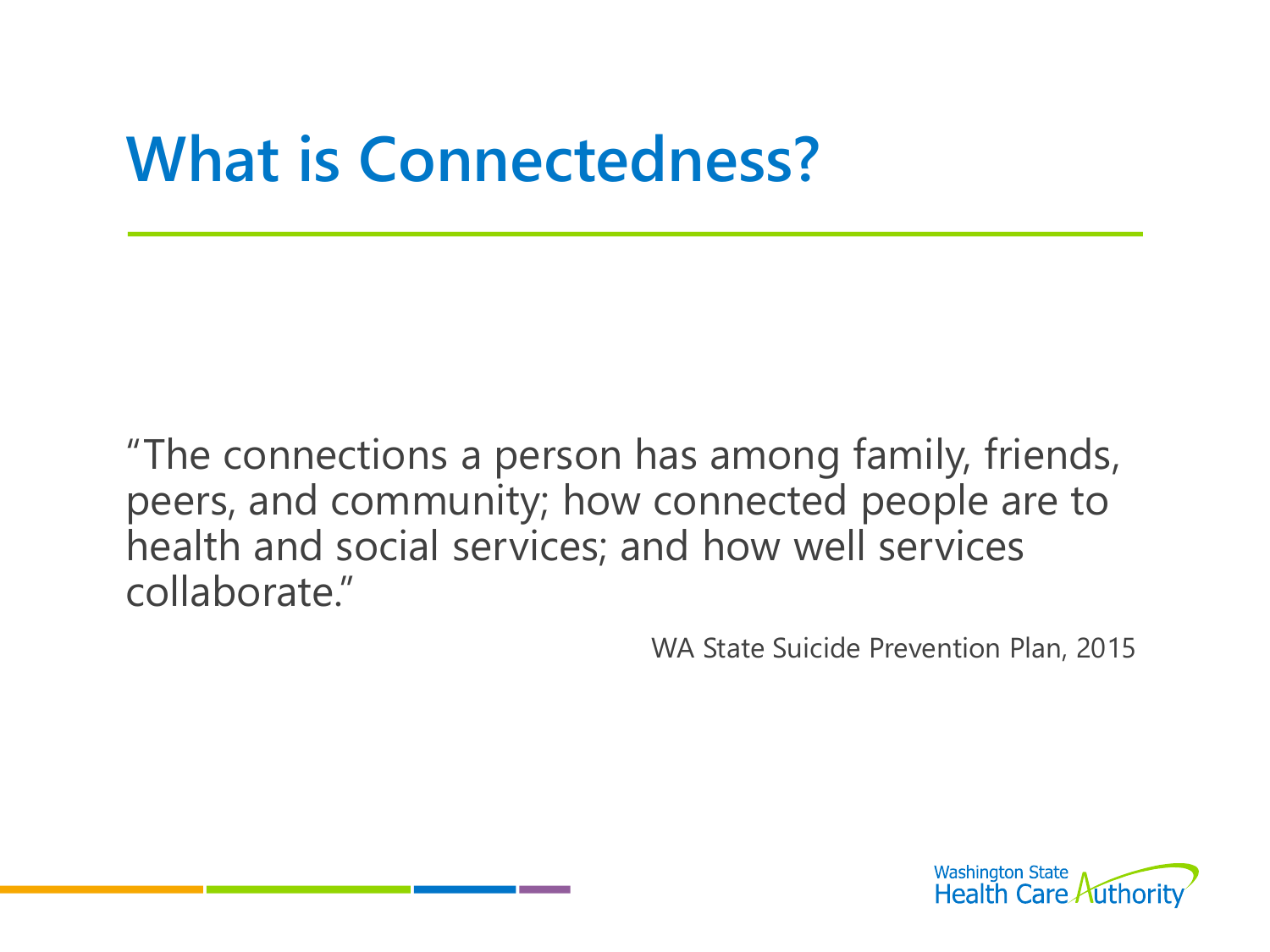#### **What is Connectedness?**

"The connections a person has among family, friends, peers, and community; how connected people are to health and social services; and how well services collaborate."

WA State Suicide Prevention Plan, 2015

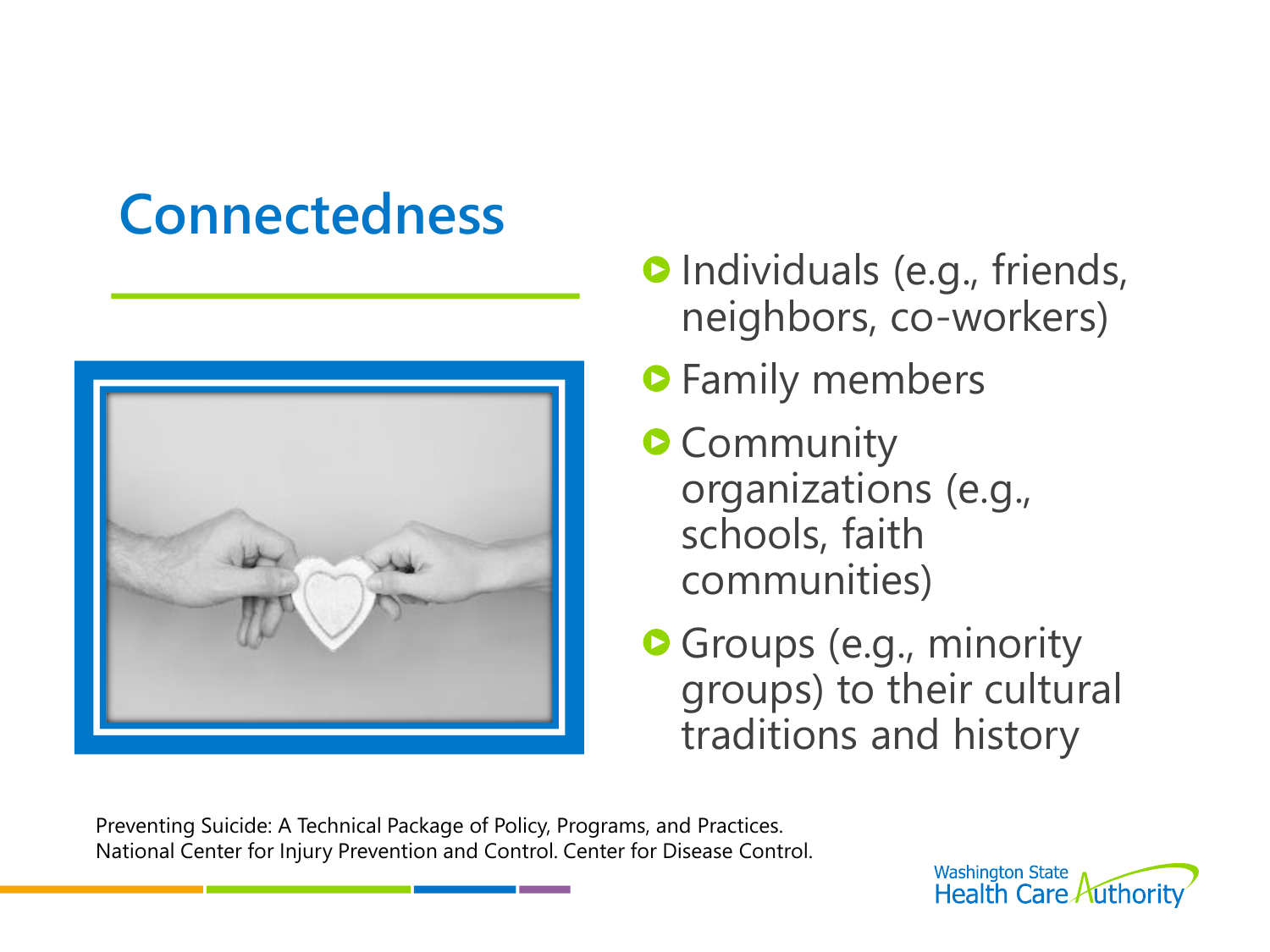#### **Connectedness**



- **O** Individuals (e.g., friends, neighbors, co-workers)
- **•** Family members
- **O** Community organizations (e.g., schools, faith communities)
- **Groups (e.g., minority** groups) to their cultural traditions and history

Preventing Suicide: A Technical Package of Policy, Programs, and Practices. National Center for Injury Prevention and Control. Center for Disease Control.

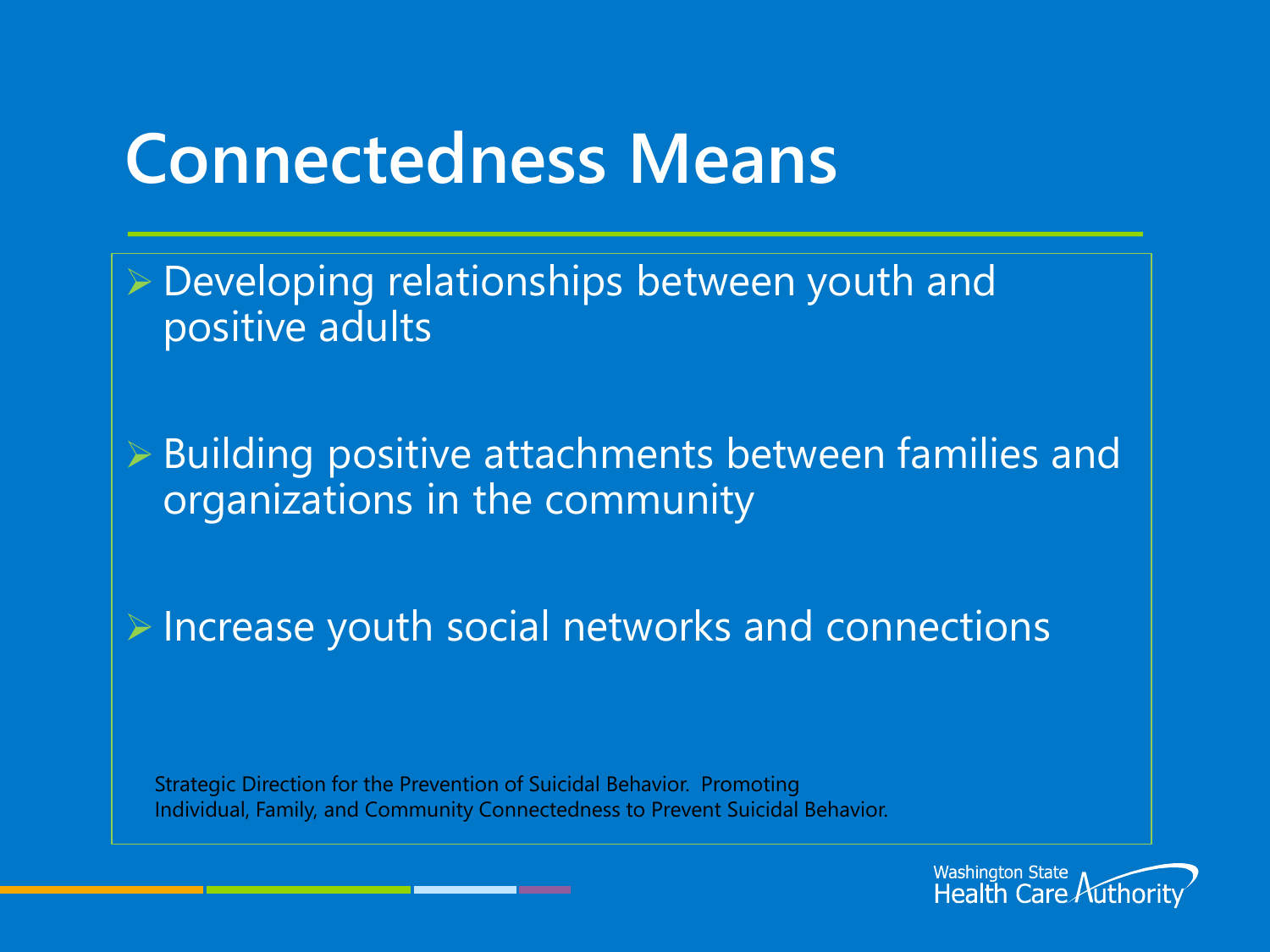#### **Connectedness Means**

 $\triangleright$  Developing relationships between youth and positive adults

 Building positive attachments between families and organizations in the community

 $\triangleright$  Increase youth social networks and connections

Strategic Direction for the Prevention of Suicidal Behavior. Promoting Individual, Family, and Community Connectedness to Prevent Suicidal Behavior.

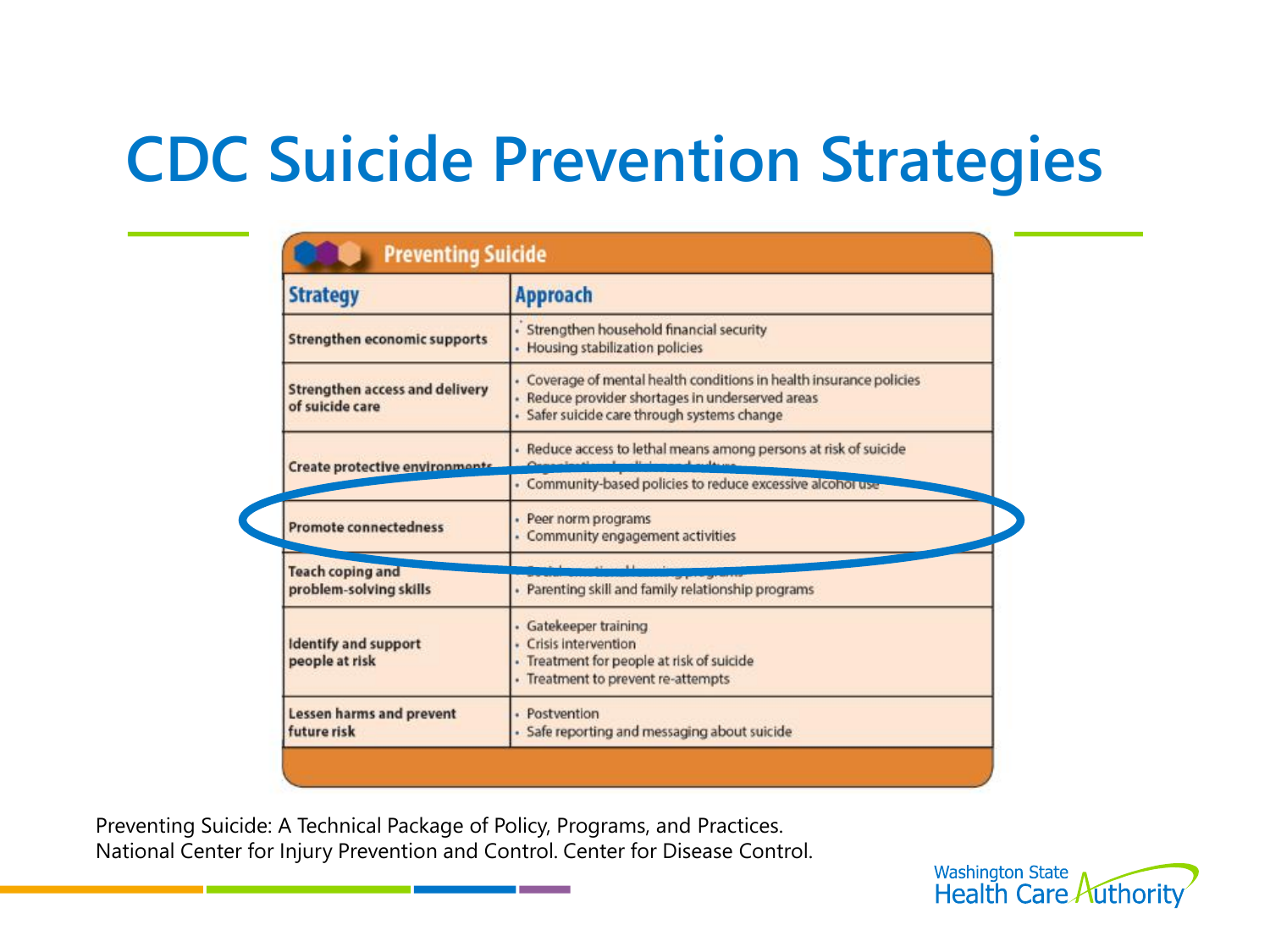### **CDC Suicide Prevention Strategies**

| <b>Strategy</b>                                          | <b>Approach</b>                                                                                                                                                        |  |  |
|----------------------------------------------------------|------------------------------------------------------------------------------------------------------------------------------------------------------------------------|--|--|
| Strengthen economic supports                             | · Strengthen household financial security<br>· Housing stabilization policies                                                                                          |  |  |
| <b>Strengthen access and delivery</b><br>of suicide care | - Coverage of mental health conditions in health insurance policies<br>· Reduce provider shortages in underserved areas<br>· Safer suicide care through systems change |  |  |
| Create protective environment                            | - Reduce access to lethal means among persons at risk of suicide                                                                                                       |  |  |
|                                                          | - Community-based policies to reduce excessive alcohor use                                                                                                             |  |  |
| <b>Promote connectedness</b>                             | · Peer norm programs<br>- Community engagement activities                                                                                                              |  |  |
| <b>Teach coping and</b>                                  |                                                                                                                                                                        |  |  |
| problem-solving skills                                   | · Parenting skill and family relationship programs                                                                                                                     |  |  |
| <b>Identify and support</b><br>people at risk            | · Gatekeeper training<br>· Crisis intervention<br>- Treatment for people at risk of suicide<br>· Treatment to prevent re-attempts                                      |  |  |
| <b>Lessen harms and prevent</b><br>future risk           | · Postvention<br>· Safe reporting and messaging about suicide                                                                                                          |  |  |

Preventing Suicide: A Technical Package of Policy, Programs, and Practices. National Center for Injury Prevention and Control. Center for Disease Control.

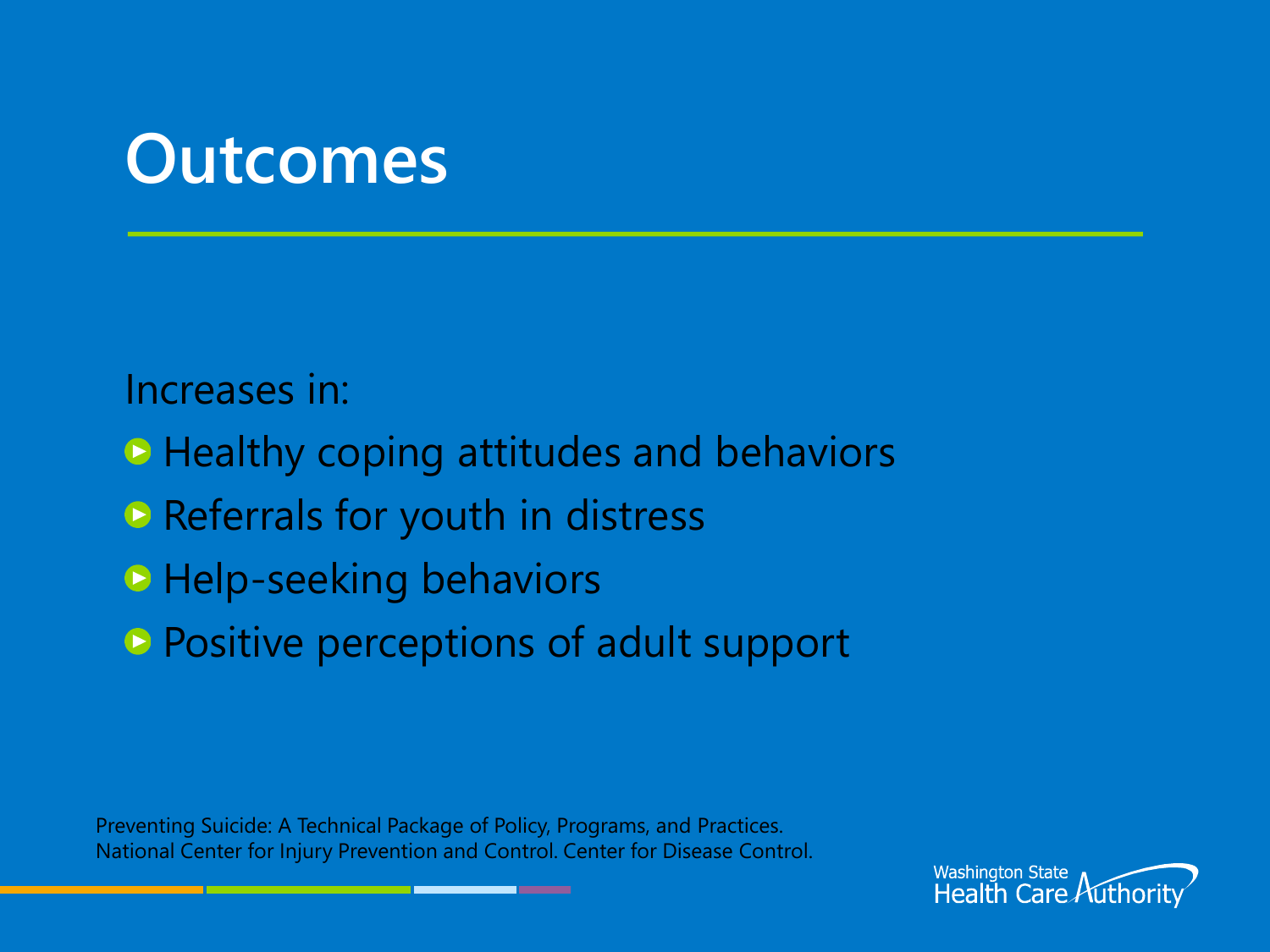#### **Outcomes**

Increases in:

■ Healthy coping attitudes and behaviors

- **Referrals for youth in distress**
- **Help-seeking behaviors**
- **Positive perceptions of adult support**

Preventing Suicide: A Technical Package of Policy, Programs, and Practices. National Center for Injury Prevention and Control. Center for Disease Control.

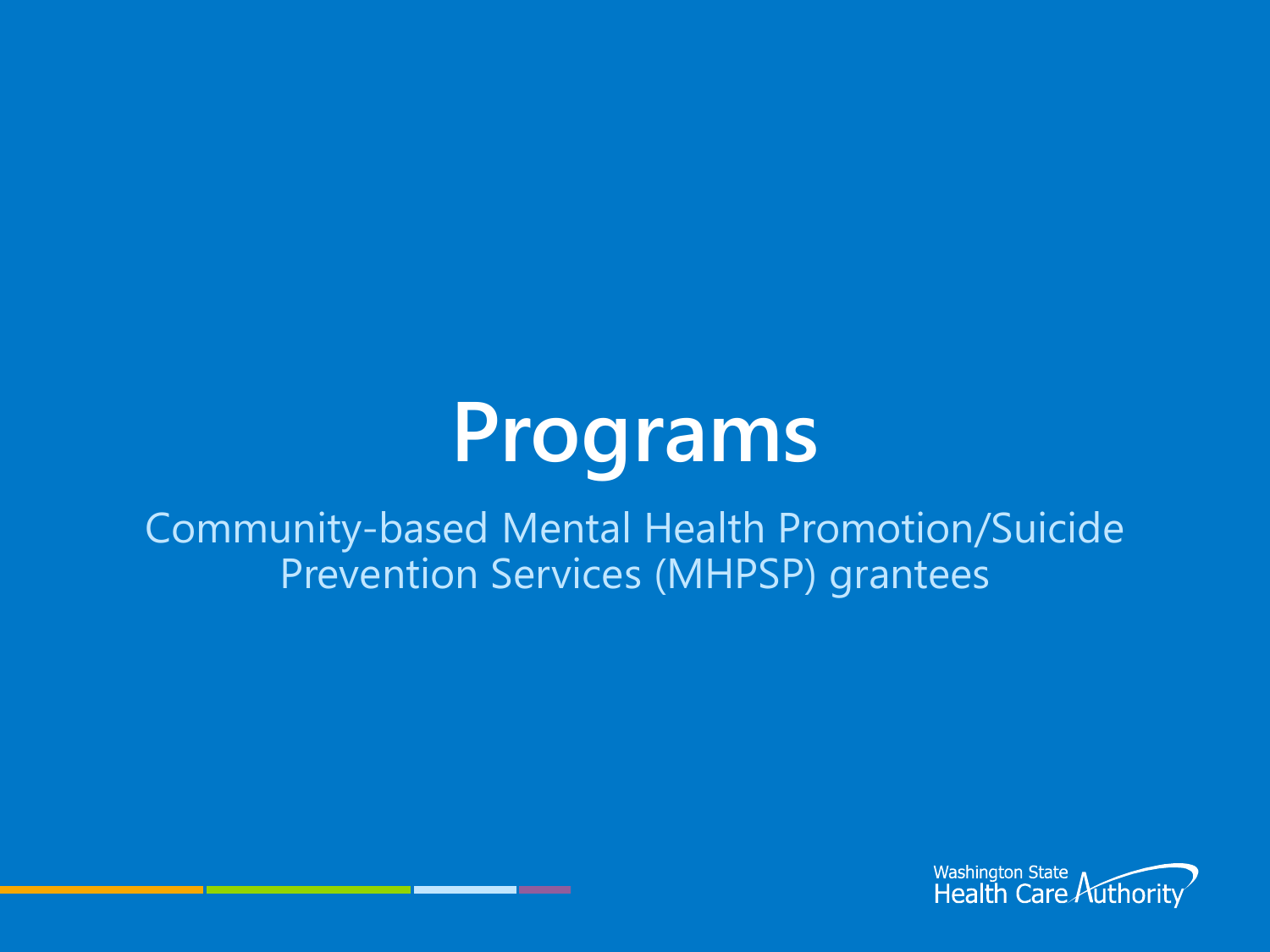# **Programs**

Community-based Mental Health Promotion/Suicide Prevention Services (MHPSP) grantees

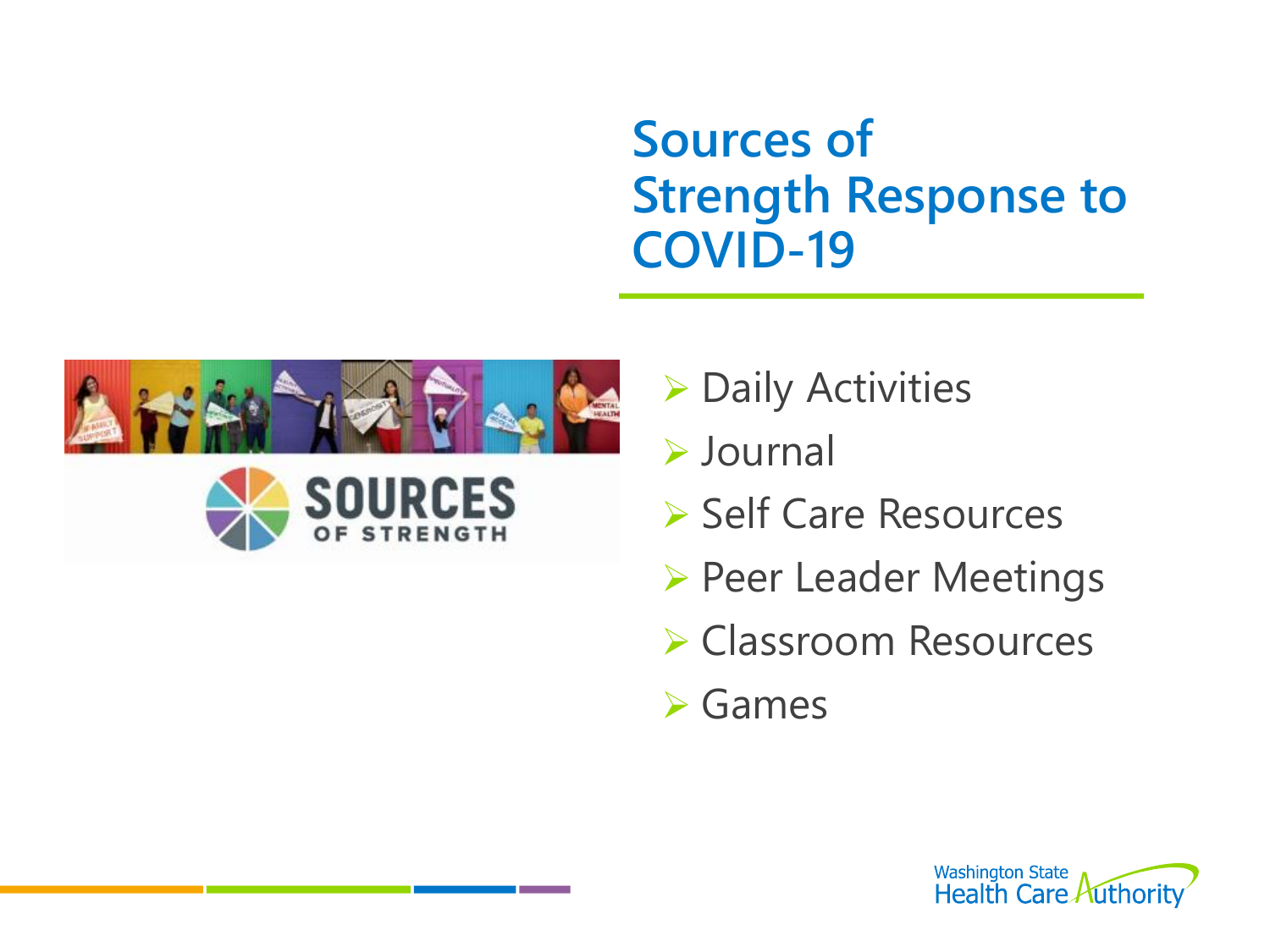#### **Sources of Strength Response to COVID-19**





▶ Daily Activities

Journal

- **▶ Self Care Resources**
- ▶ Peer Leader Meetings
- **► Classroom Resources**

**≻**Games

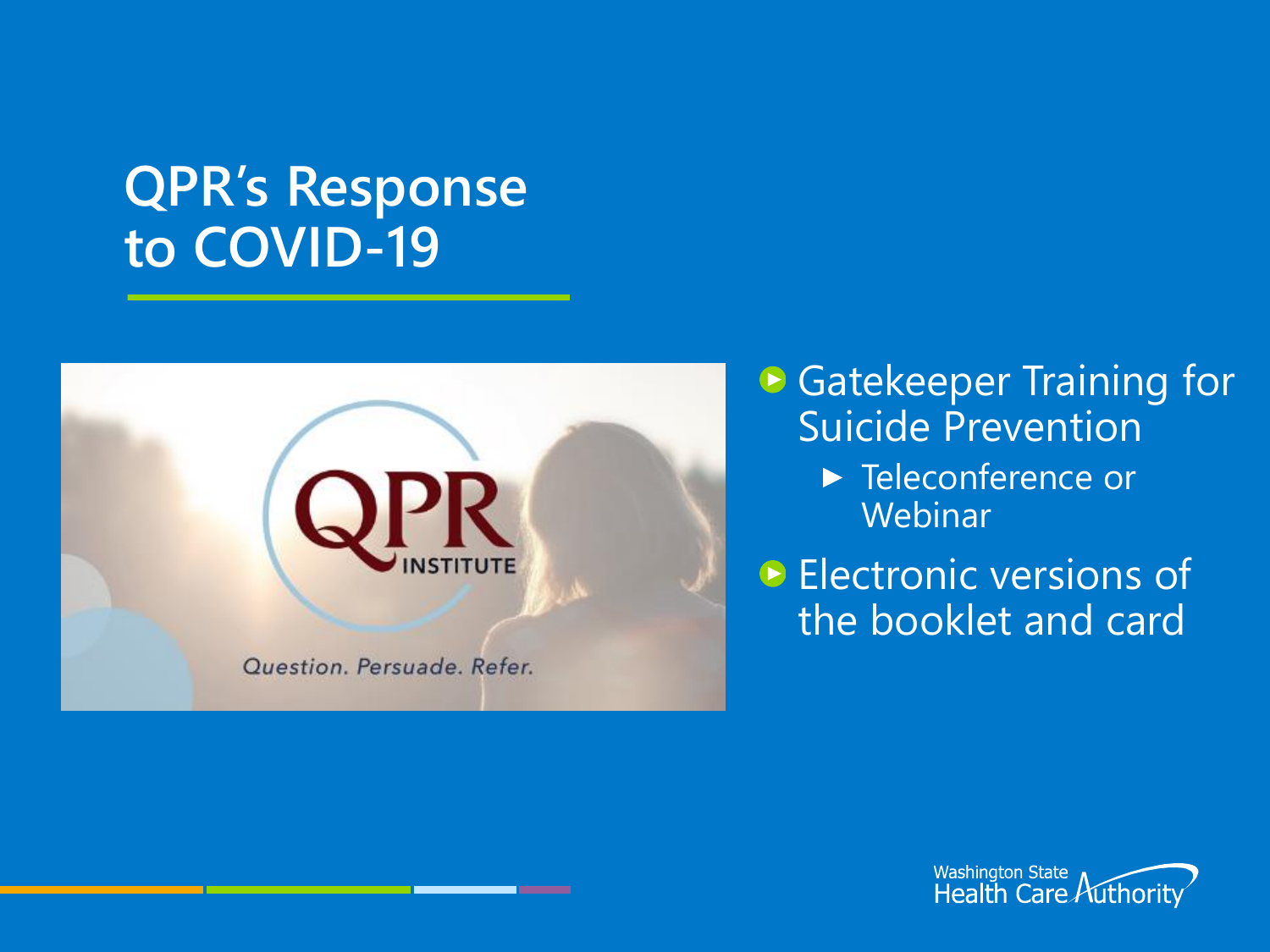#### **QPR's Response to COVID-19**



**▶ Gatekeeper Training for** Suicide Prevention

> ▶ Teleconference or **Webinar**

**Electronic versions of** the booklet and card

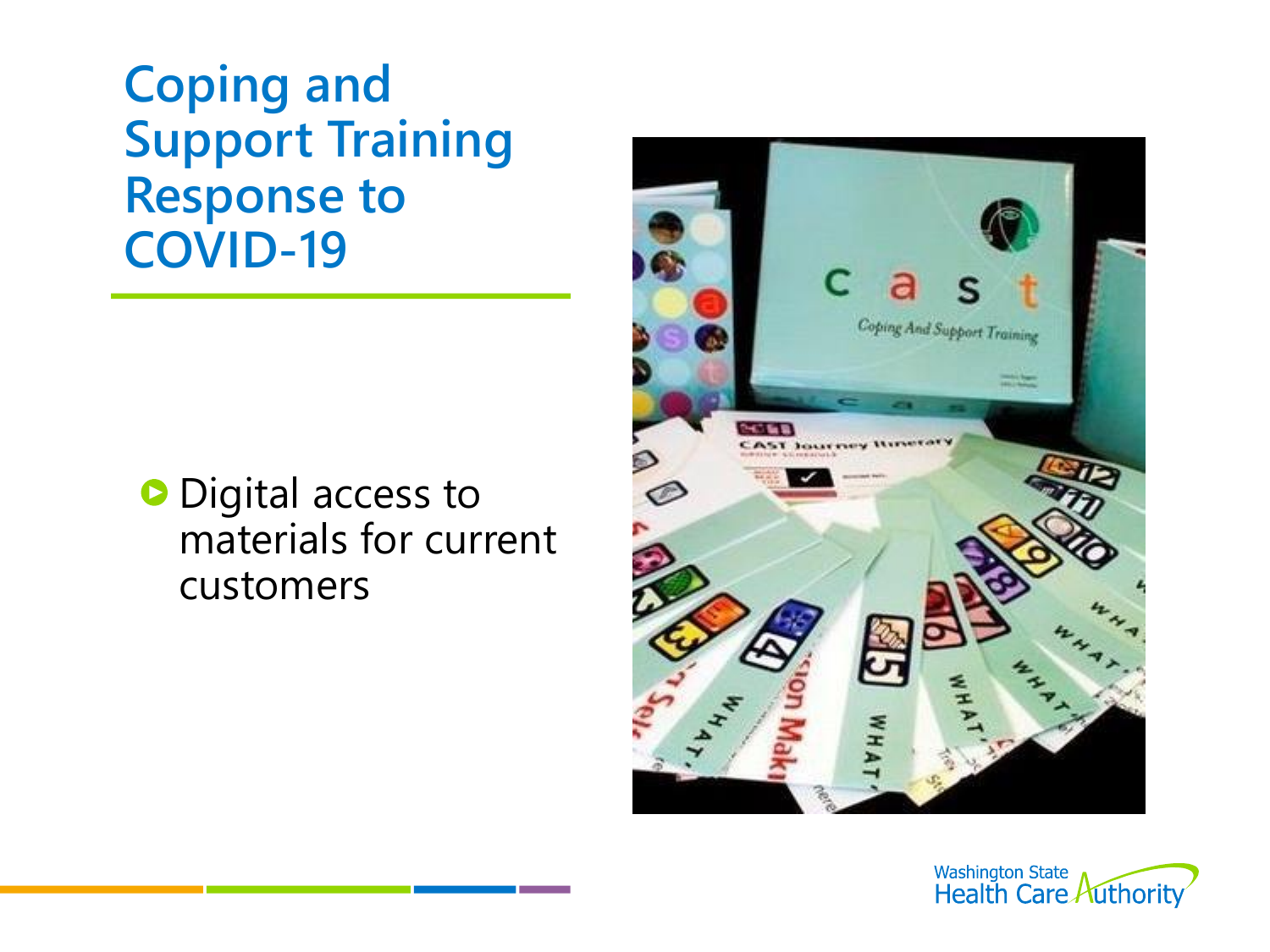**Coping and Support Training Response to COVID-19**

**O** Digital access to materials for current customers



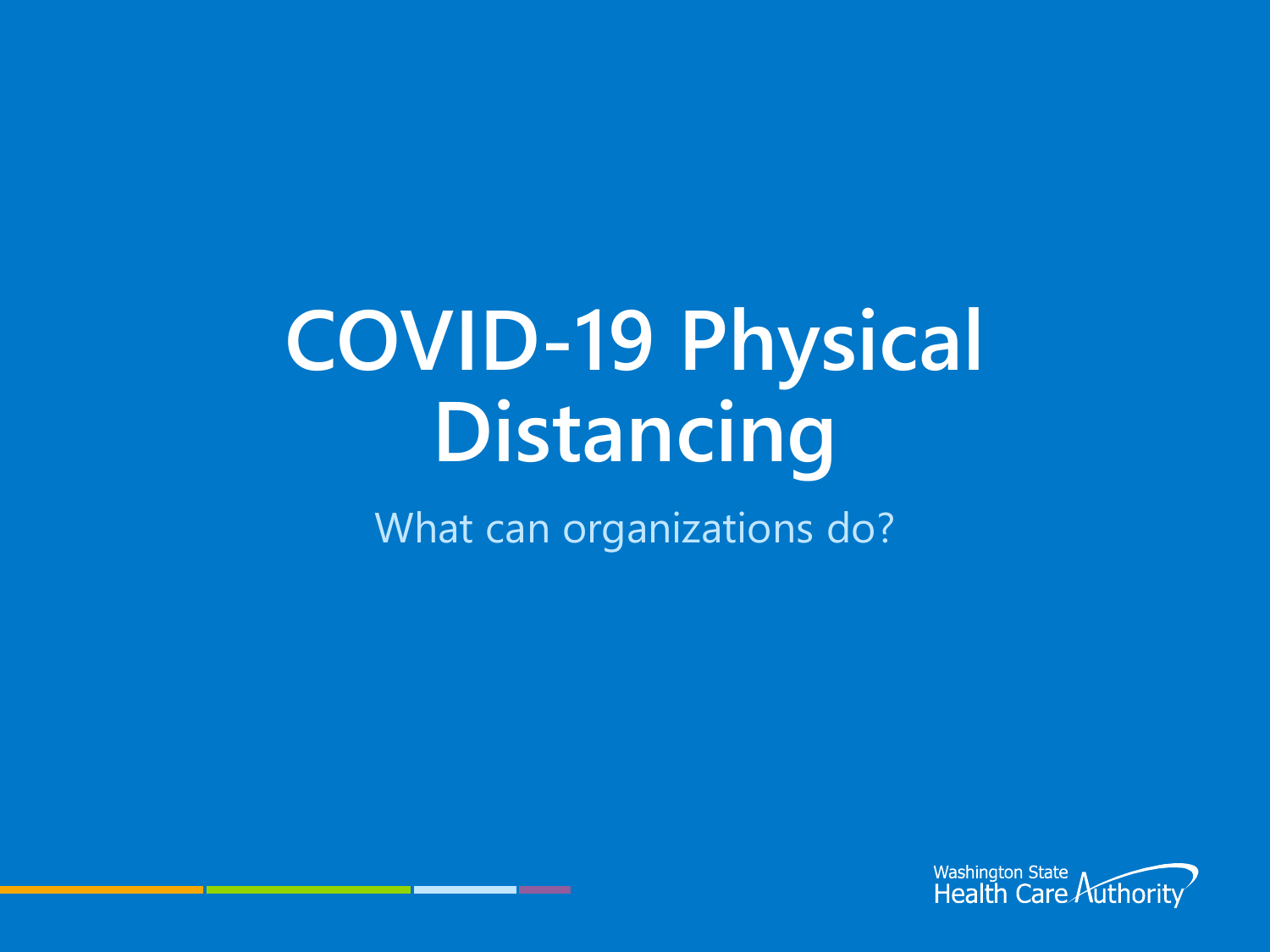# **COVID-19 Physical Distancing**

What can organizations do?

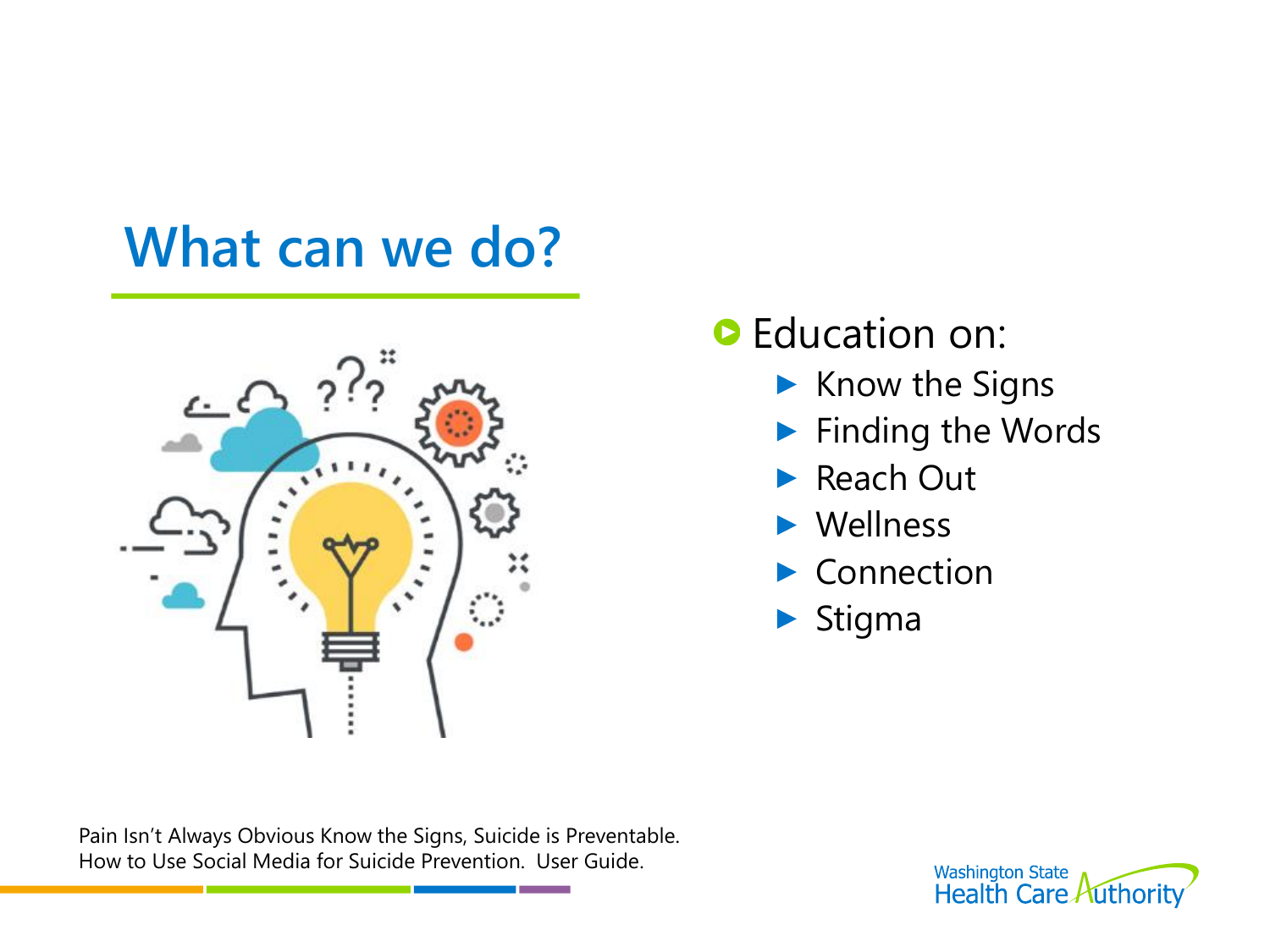#### **What can we do?**



#### **D** Education on:

- $\blacktriangleright$  Know the Signs
- **Finding the Words**
- Reach Out
- Wellness
- Connection
- $\blacktriangleright$  Stigma

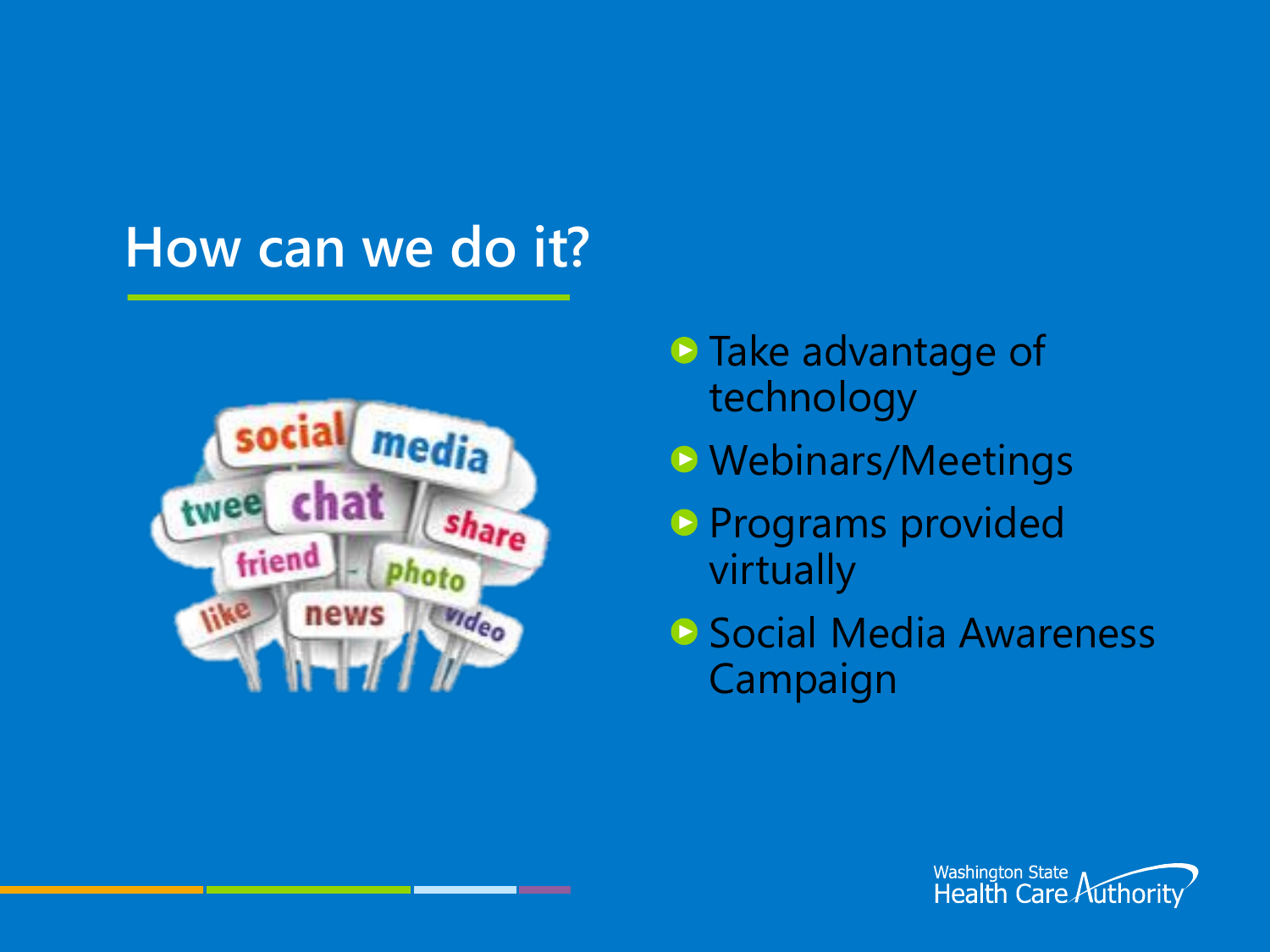#### **How can we do it?**



- **Take advantage of** technology
- **D** Webinars/Meetings
- **P** Programs provided virtually
- **B** Social Media Awareness Campaign

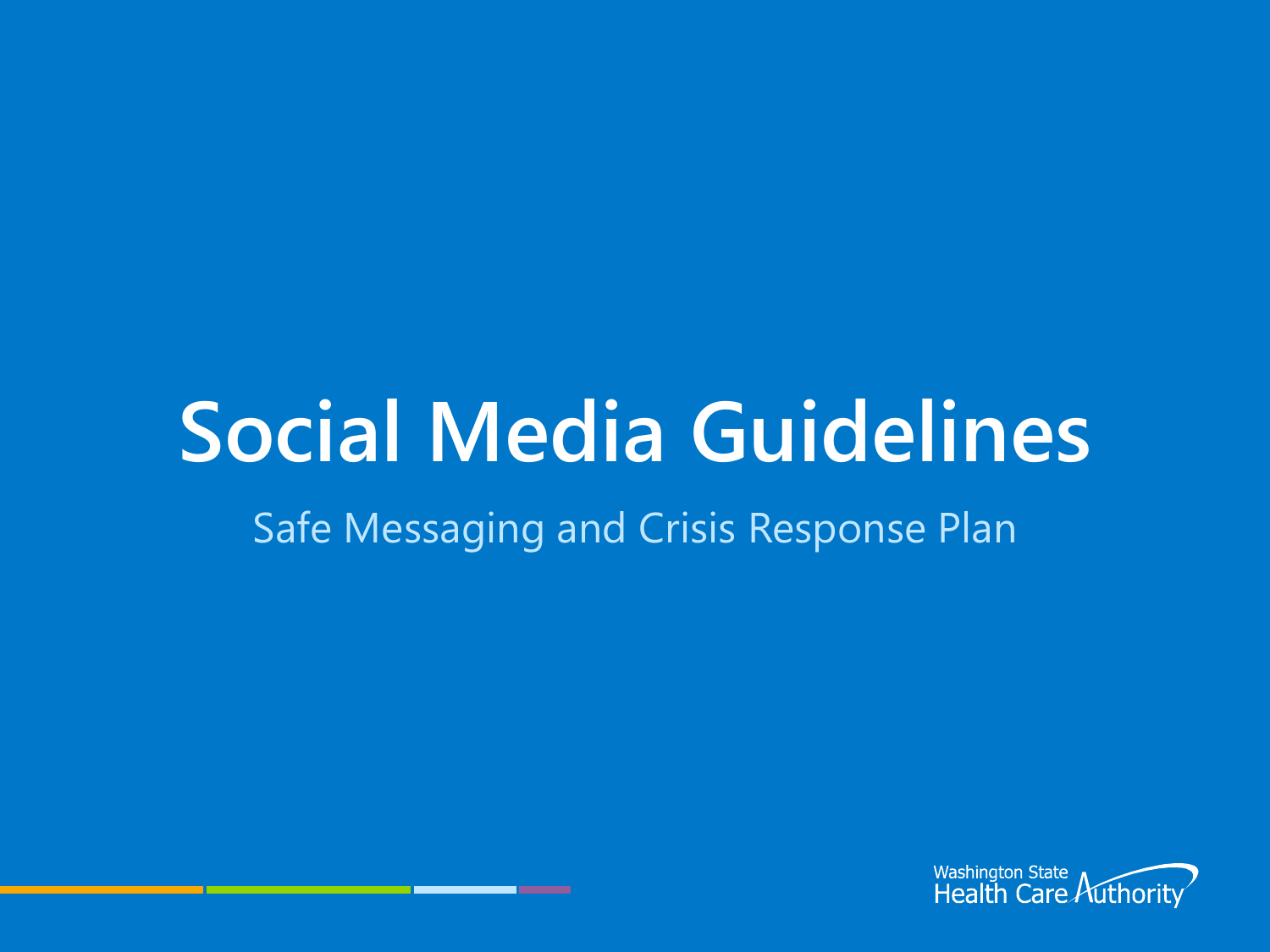# **Social Media Guidelines**

#### Safe Messaging and Crisis Response Plan

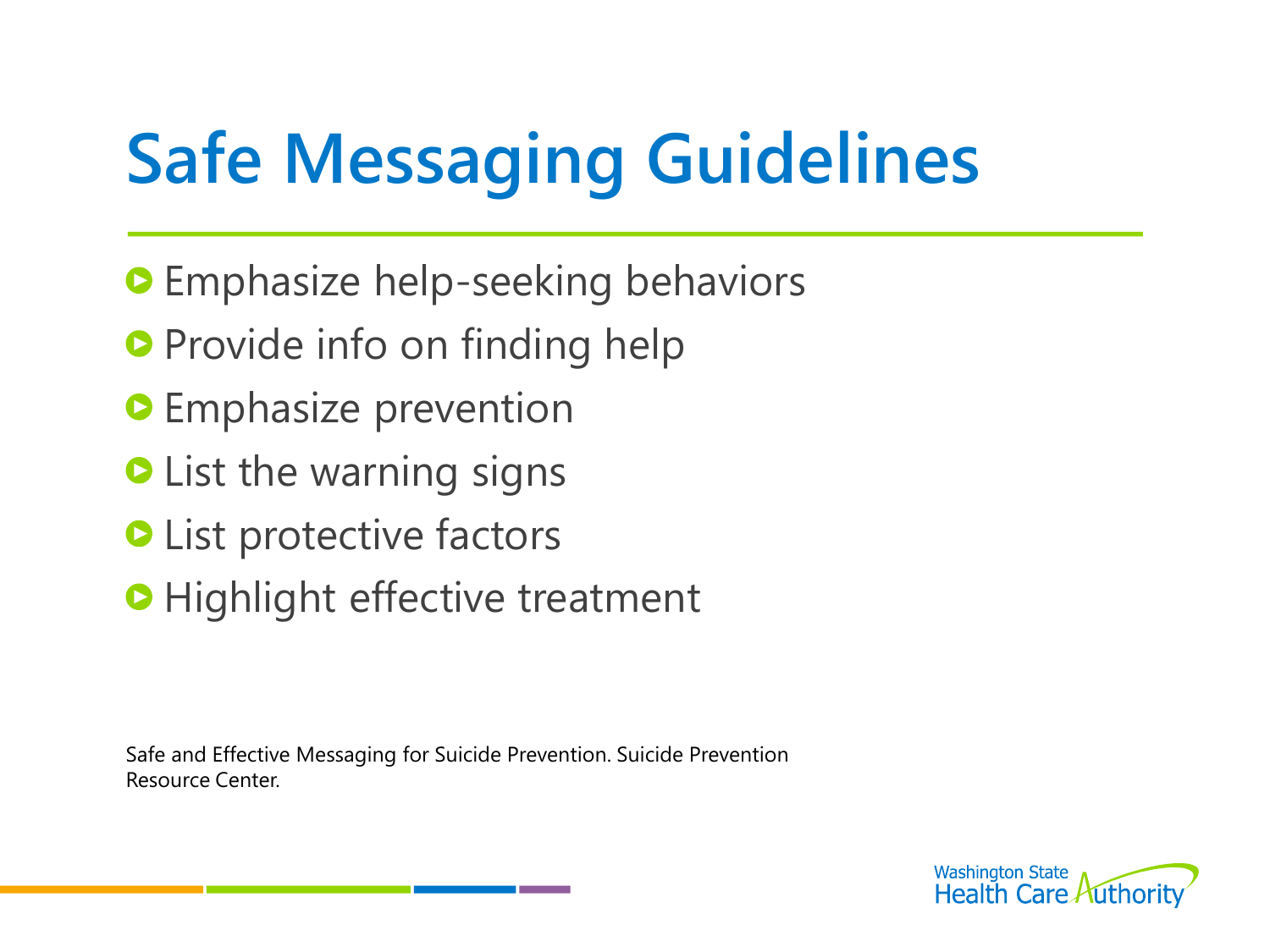# **Safe Messaging Guidelines**

- **O** Emphasize help-seeking behaviors
- **Provide info on finding help**
- **O** Emphasize prevention
- **O** List the warning signs
- **O** List protective factors
- **O** Highlight effective treatment

Safe and Effective Messaging for Suicide Prevention. Suicide Prevention Resource Center.

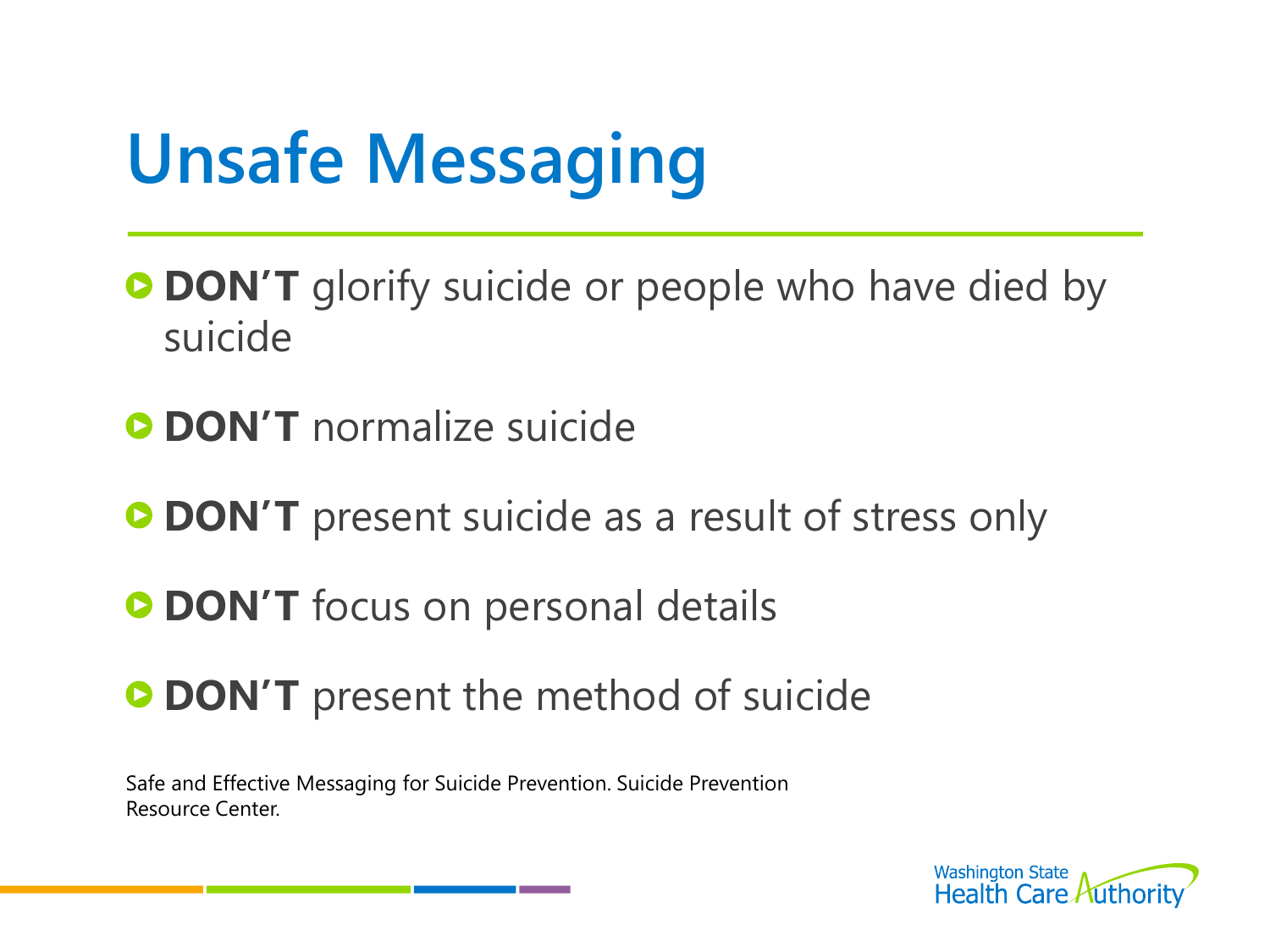# **Unsafe Messaging**

- **DON'T** glorify suicide or people who have died by suicide
- **C** DON'T normalize suicide
- **DON'T** present suicide as a result of stress only
- **DON'T** focus on personal details
- **DON'T** present the method of suicide

Safe and Effective Messaging for Suicide Prevention. Suicide Prevention Resource Center.

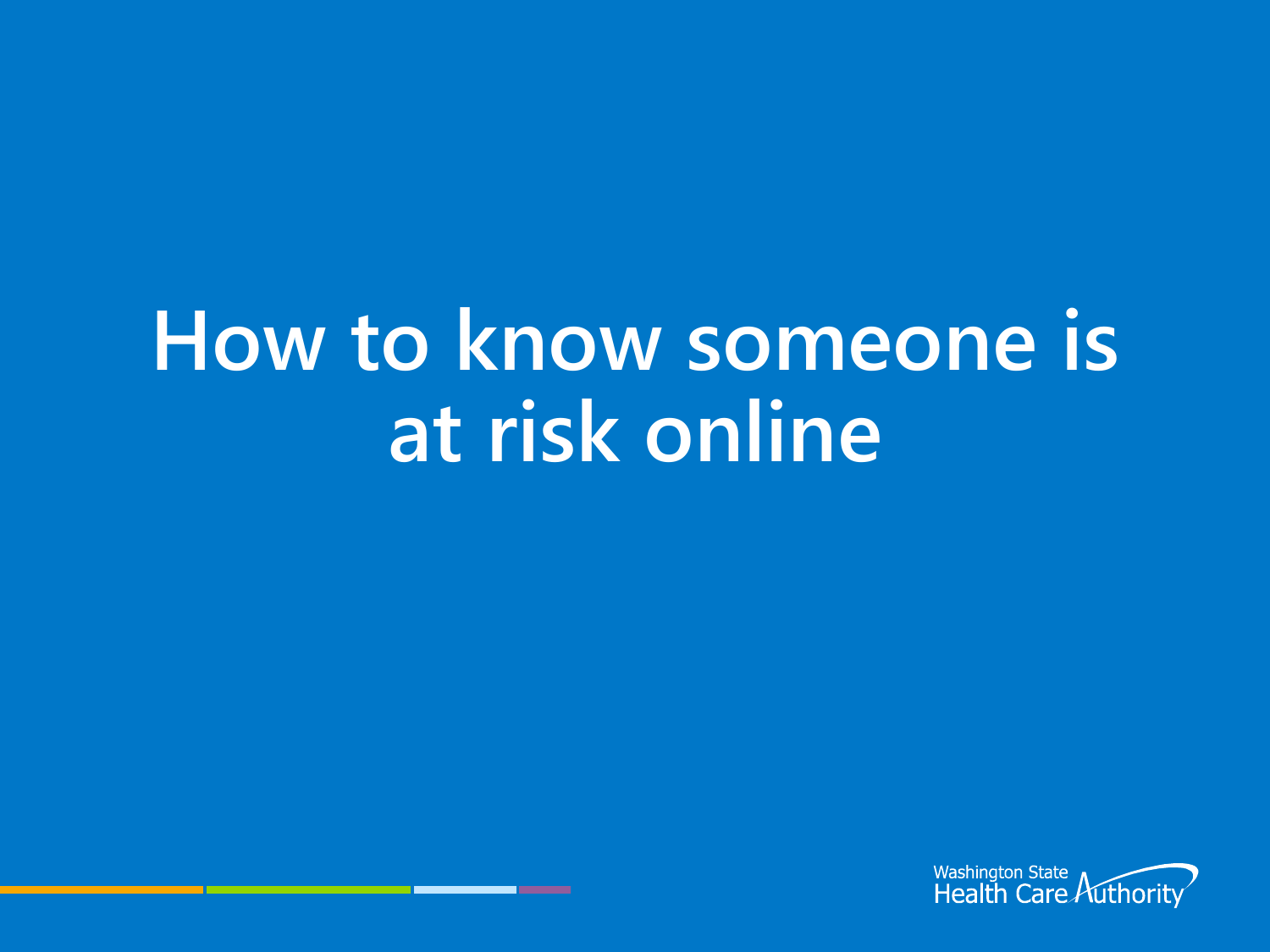# **How to know someone is at risk online**

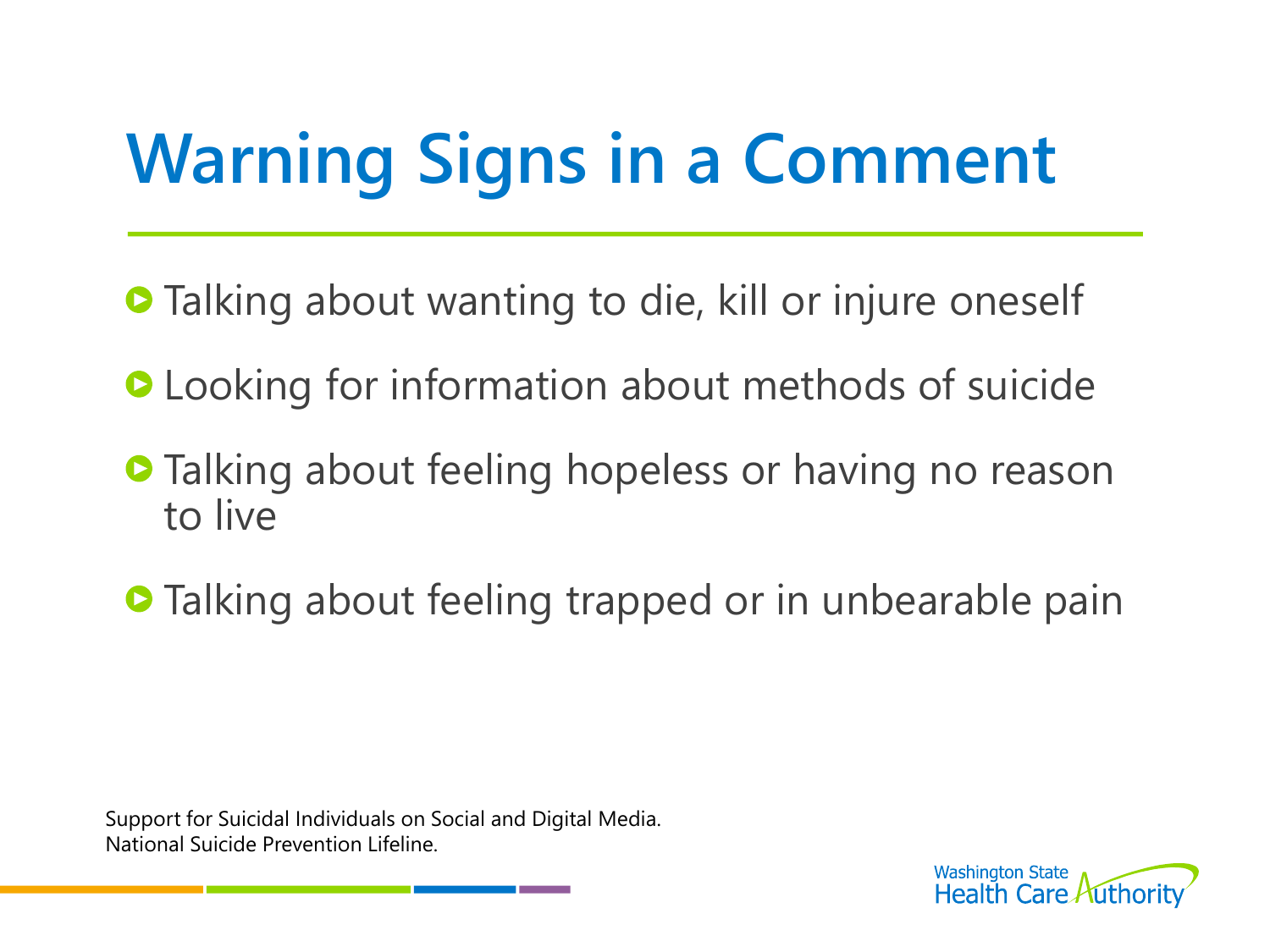# **Warning Signs in a Comment**

- **Talking about wanting to die, kill or injure oneself**
- **O** Looking for information about methods of suicide
- **Talking about feeling hopeless or having no reason** to live
- **Talking about feeling trapped or in unbearable pain**

Support for Suicidal Individuals on Social and Digital Media. National Suicide Prevention Lifeline.

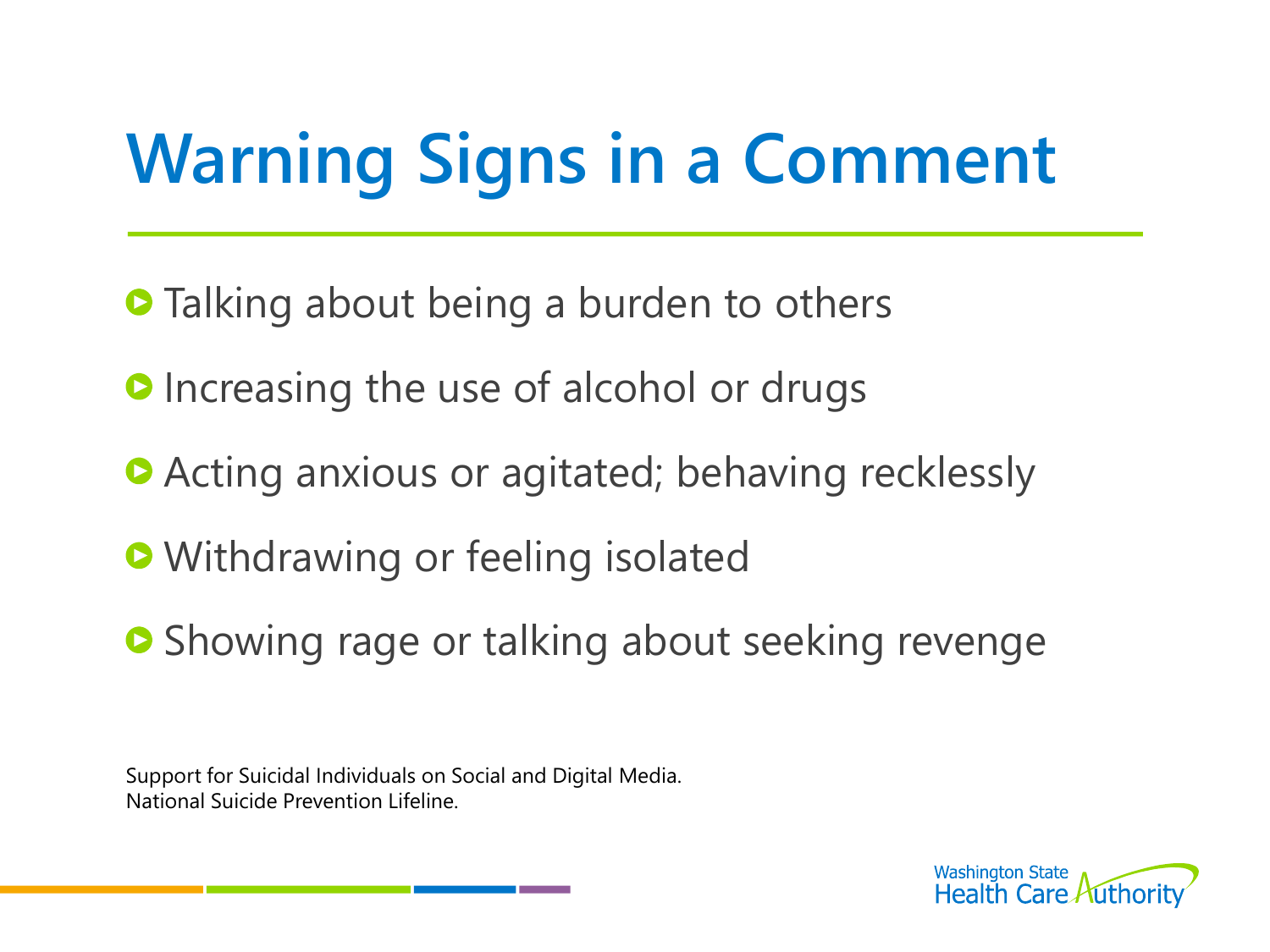# **Warning Signs in a Comment**

- **Talking about being a burden to others**
- **O** Increasing the use of alcohol or drugs
- **Acting anxious or agitated; behaving recklessly**
- **O** Withdrawing or feeling isolated
- **•** Showing rage or talking about seeking revenge

Support for Suicidal Individuals on Social and Digital Media. National Suicide Prevention Lifeline.

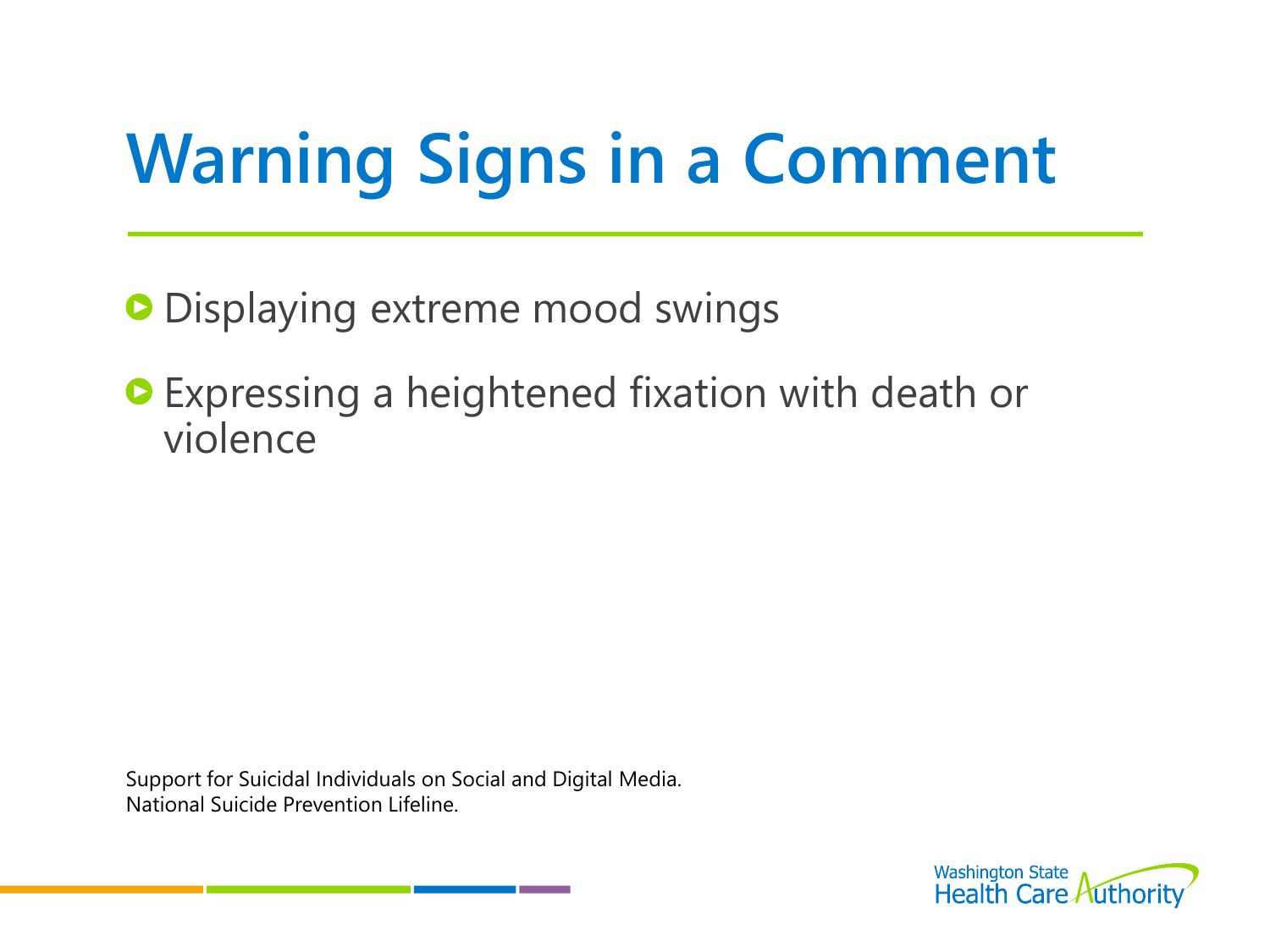# **Warning Signs in a Comment**

**O** Displaying extreme mood swings

**Expressing a heightened fixation with death or** violence

Support for Suicidal Individuals on Social and Digital Media. National Suicide Prevention Lifeline.

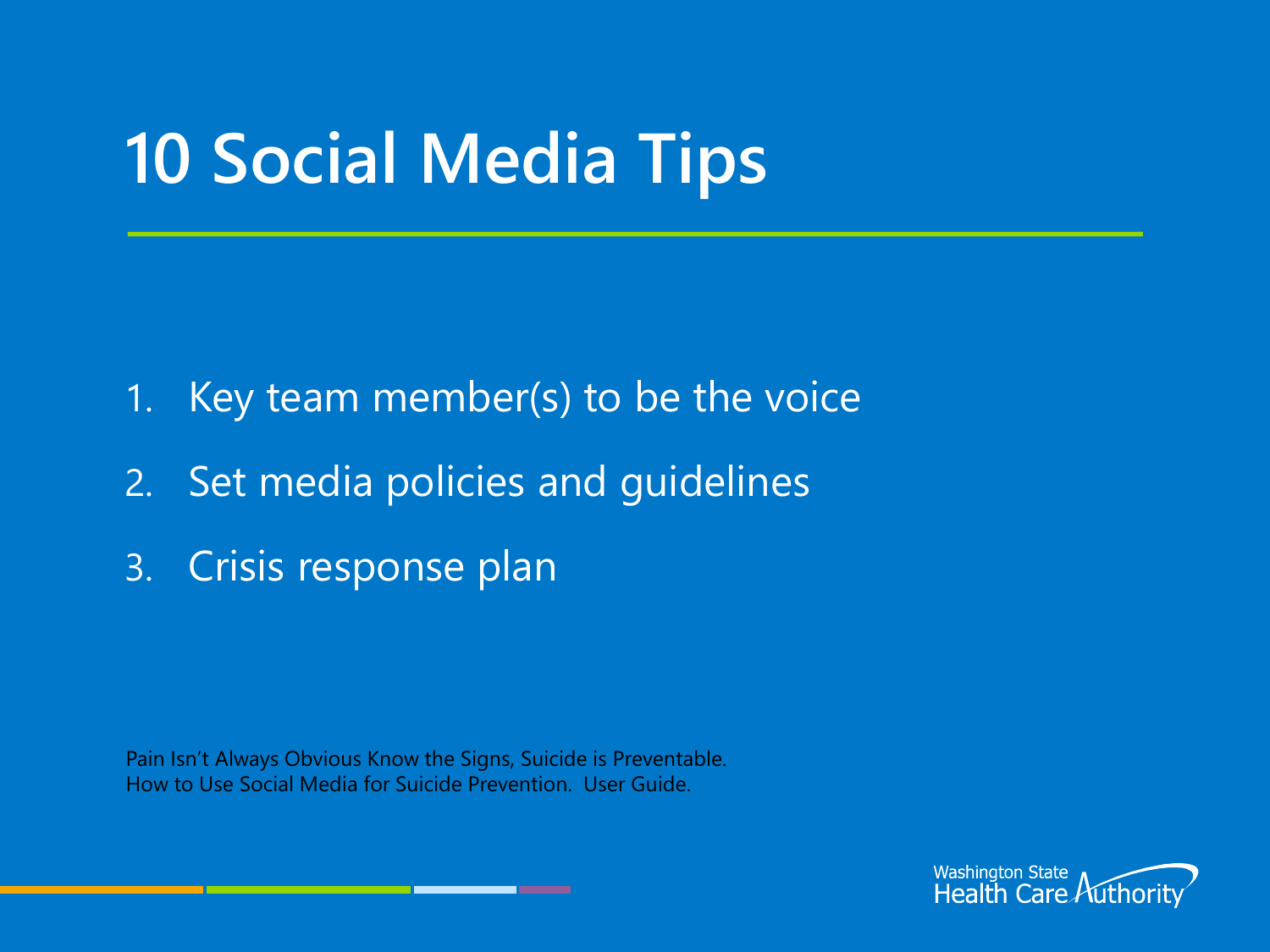## **10 Social Media Tips**

- 1. Key team member(s) to be the voice
- 2. Set media policies and guidelines
- 3. Crisis response plan

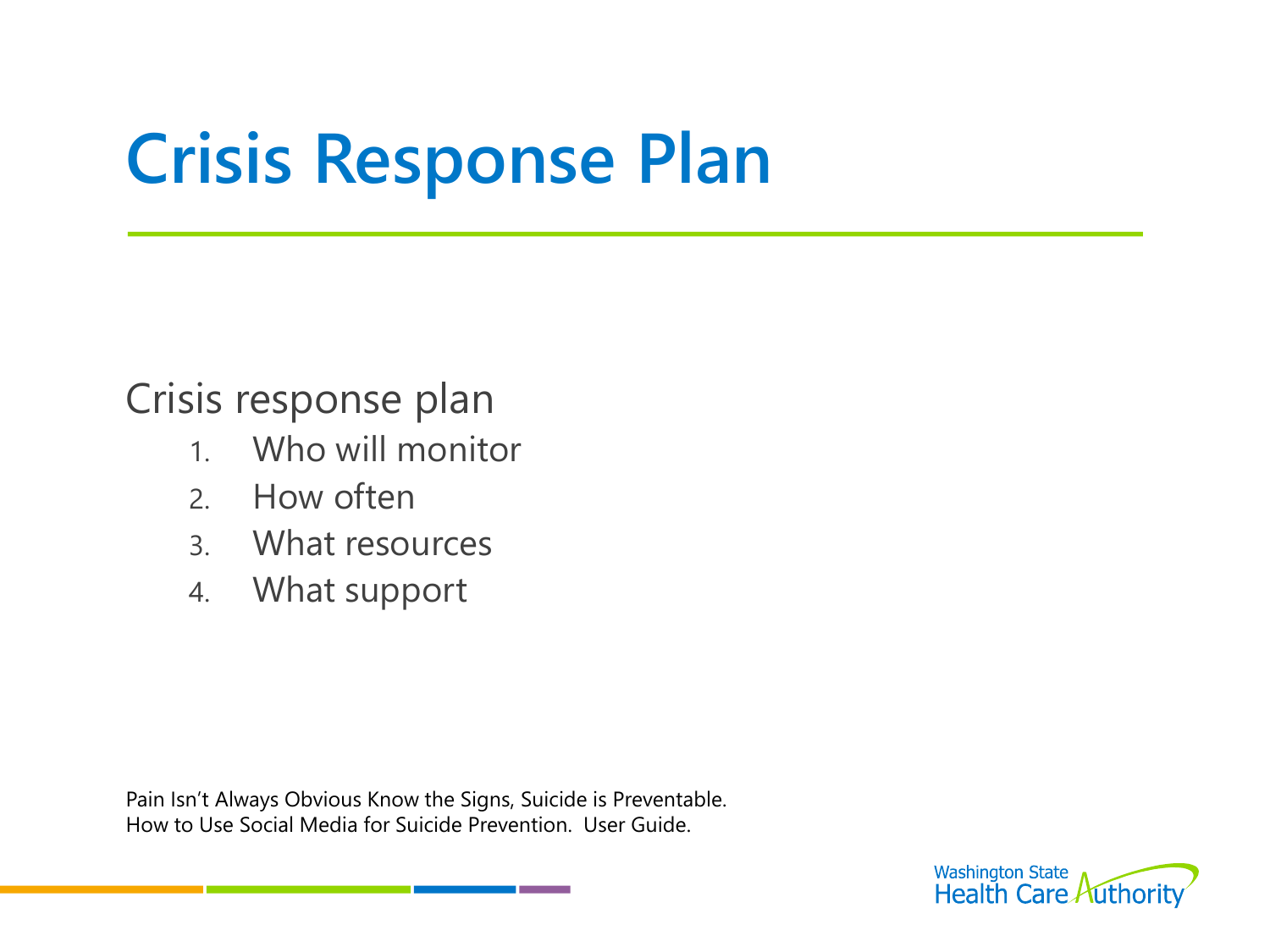#### Crisis response plan

- 1. Who will monitor
- 2. How often
- 3. What resources
- 4. What support

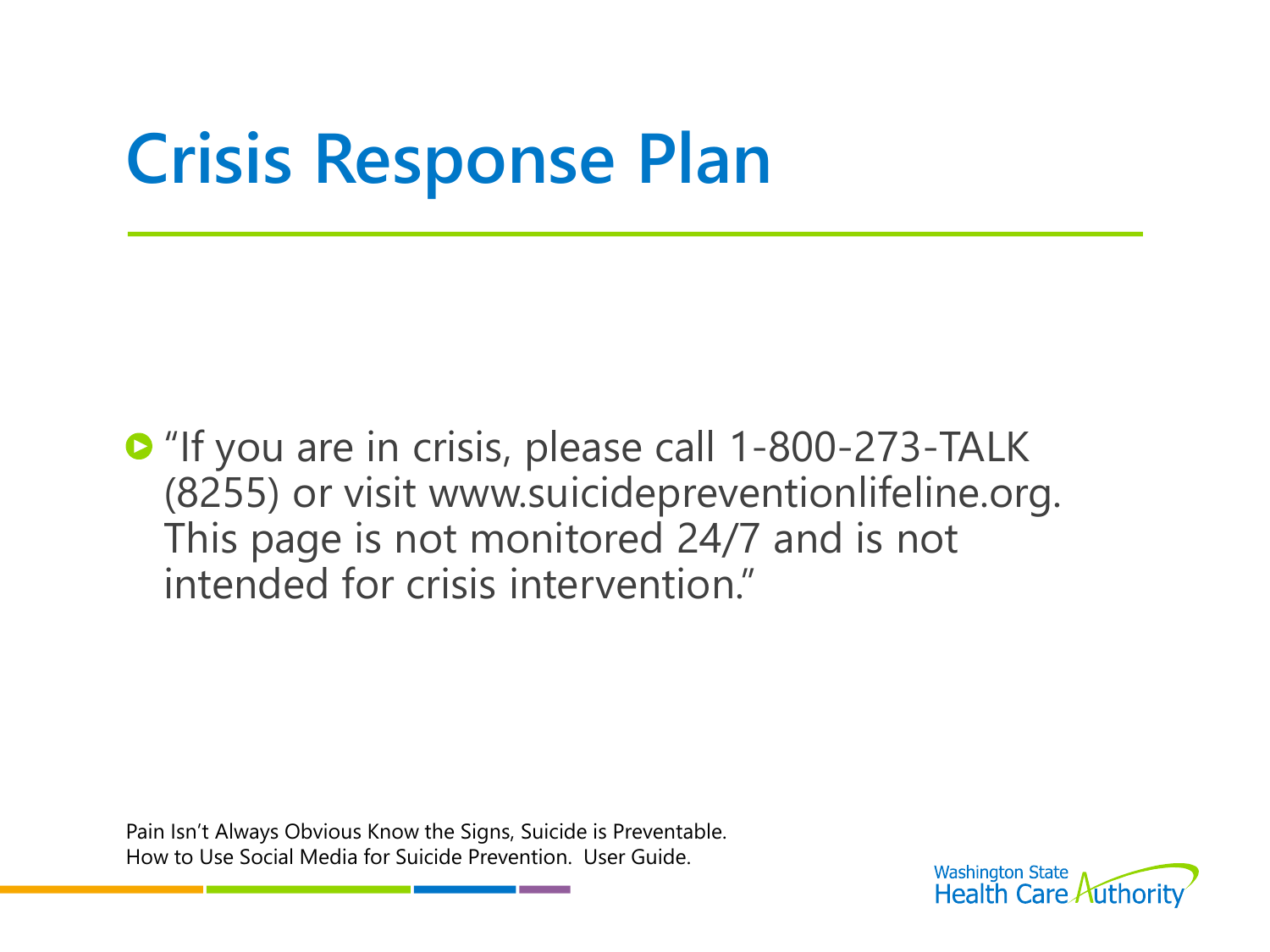**D** "If you are in crisis, please call 1-800-273-TALK (8255) or visit www.suicidepreventionlifeline.org. This page is not monitored 24/7 and is not intended for crisis intervention."

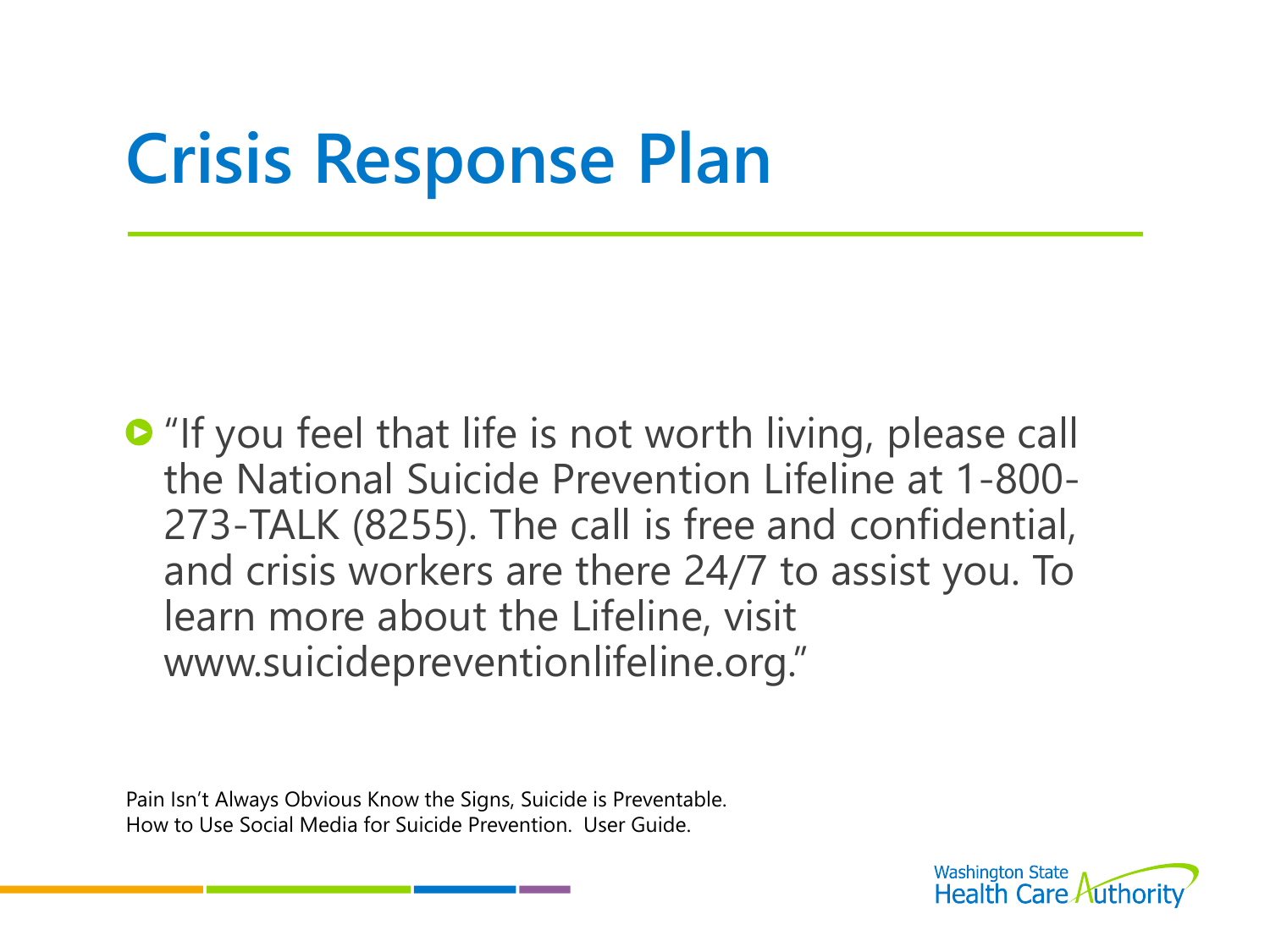**•** "If you feel that life is not worth living, please call the National Suicide Prevention Lifeline at 1-800- 273-TALK (8255). The call is free and confidential, and crisis workers are there 24/7 to assist you. To learn more about the Lifeline, visit www.suicidepreventionlifeline.org."

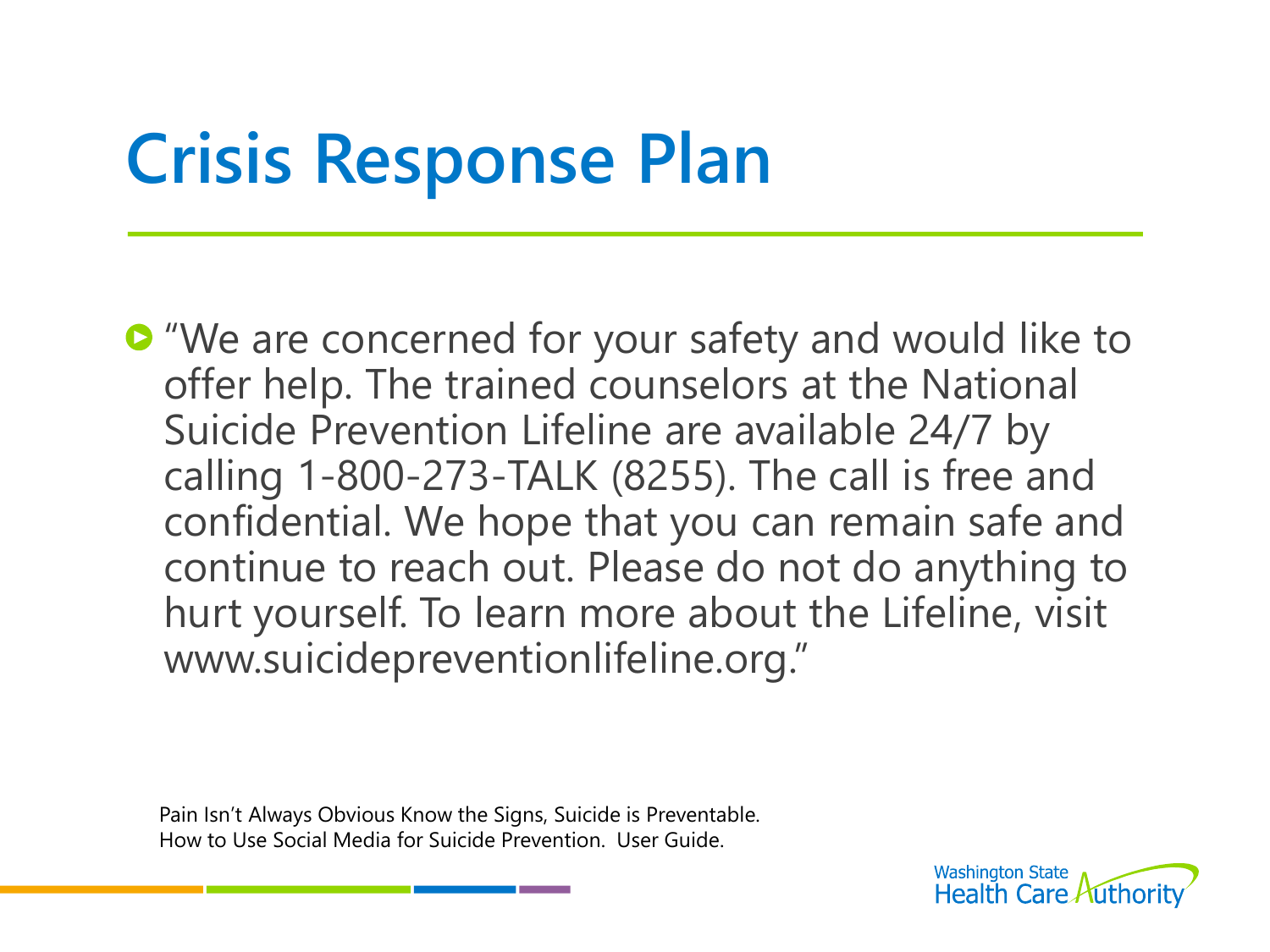**•** "We are concerned for your safety and would like to offer help. The trained counselors at the National Suicide Prevention Lifeline are available 24/7 by calling 1-800-273-TALK (8255). The call is free and confidential. We hope that you can remain safe and continue to reach out. Please do not do anything to hurt yourself. To learn more about the Lifeline, visit www.suicidepreventionlifeline.org."

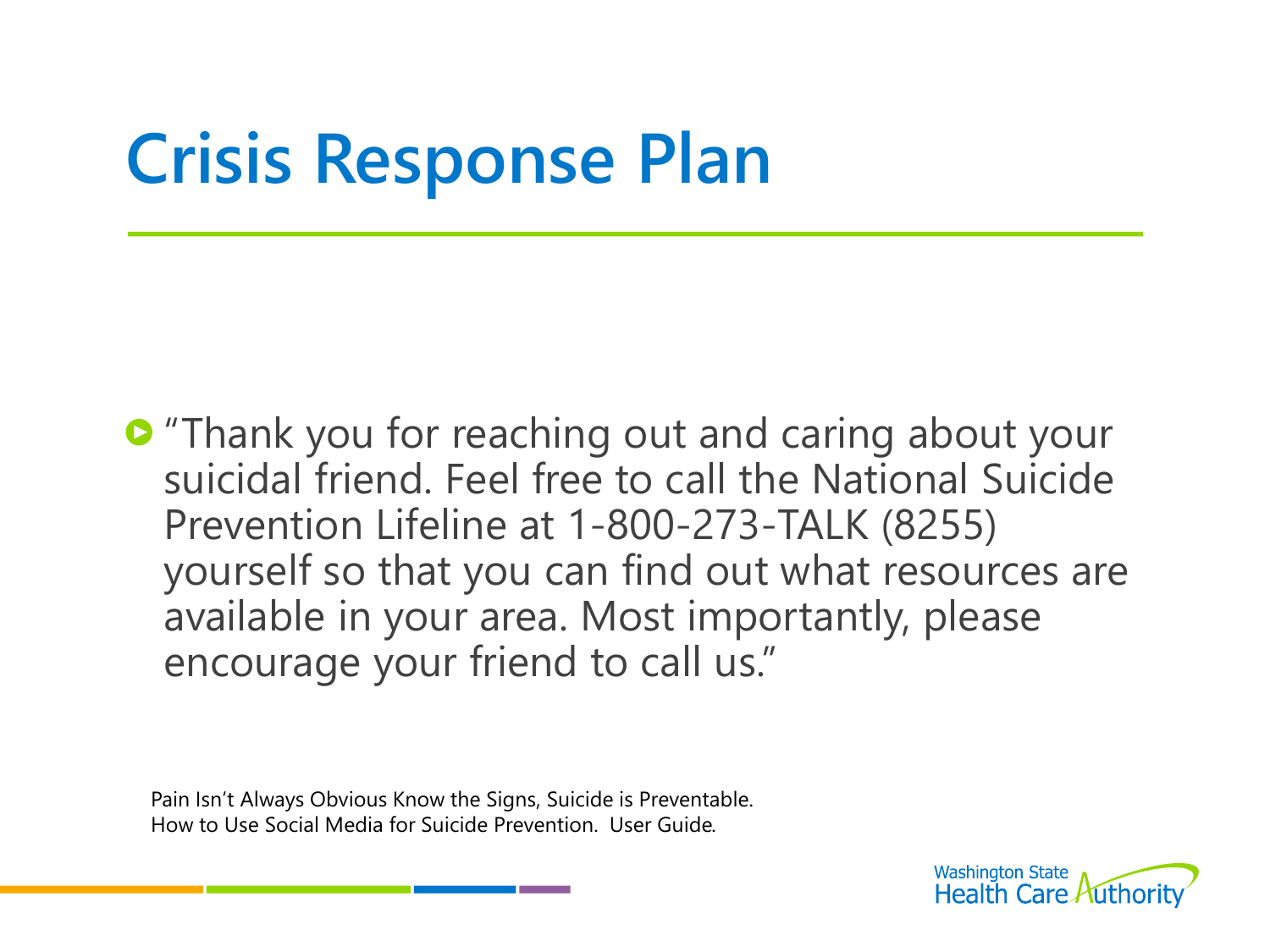**•** "Thank you for reaching out and caring about your suicidal friend. Feel free to call the National Suicide Prevention Lifeline at 1-800-273-TALK (8255) yourself so that you can find out what resources are available in your area. Most importantly, please encourage your friend to call us."

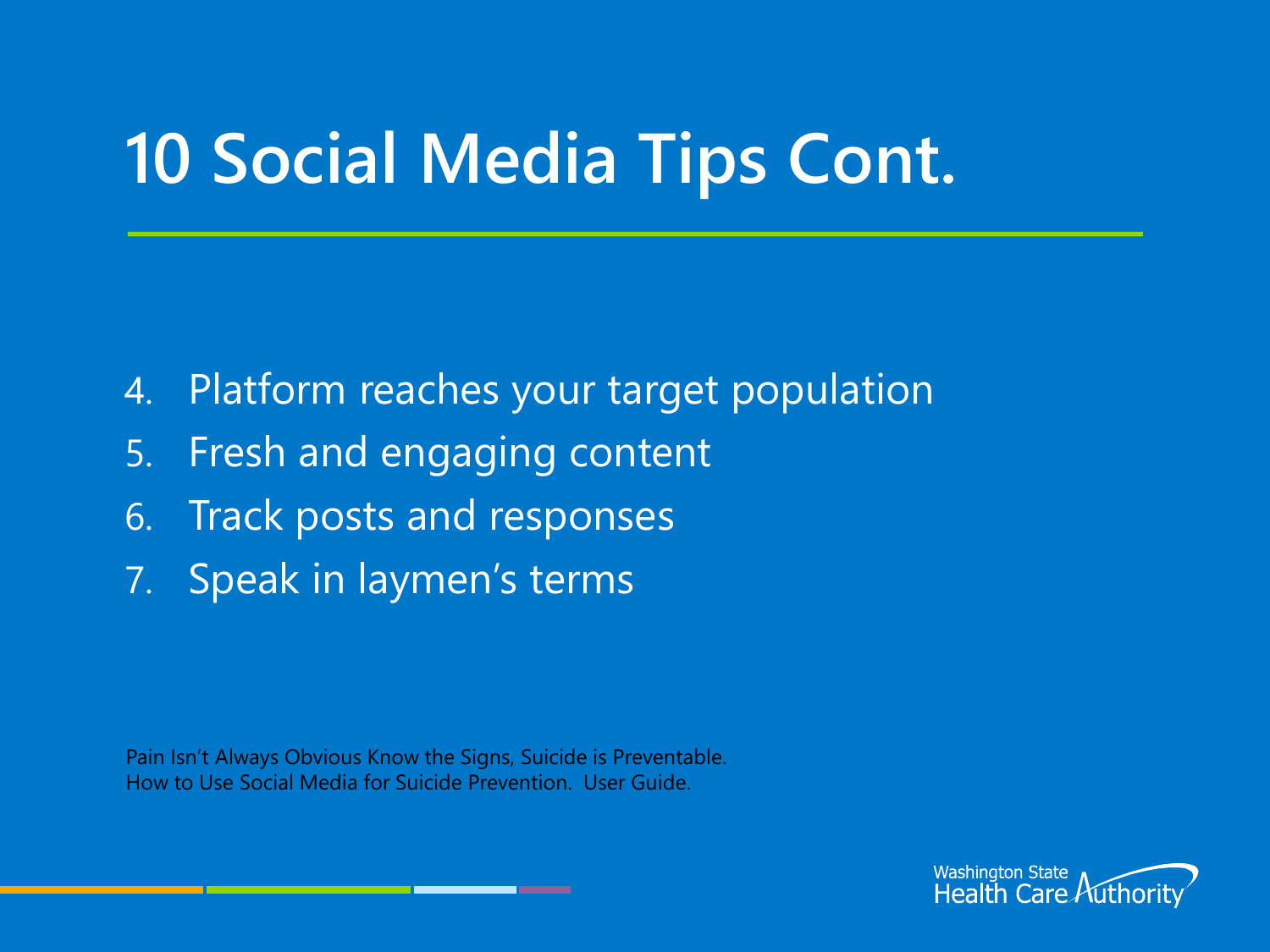## **10 Social Media Tips Cont.**

- 4. Platform reaches your target population
- 5. Fresh and engaging content
- 6. Track posts and responses
- 7. Speak in laymen's terms

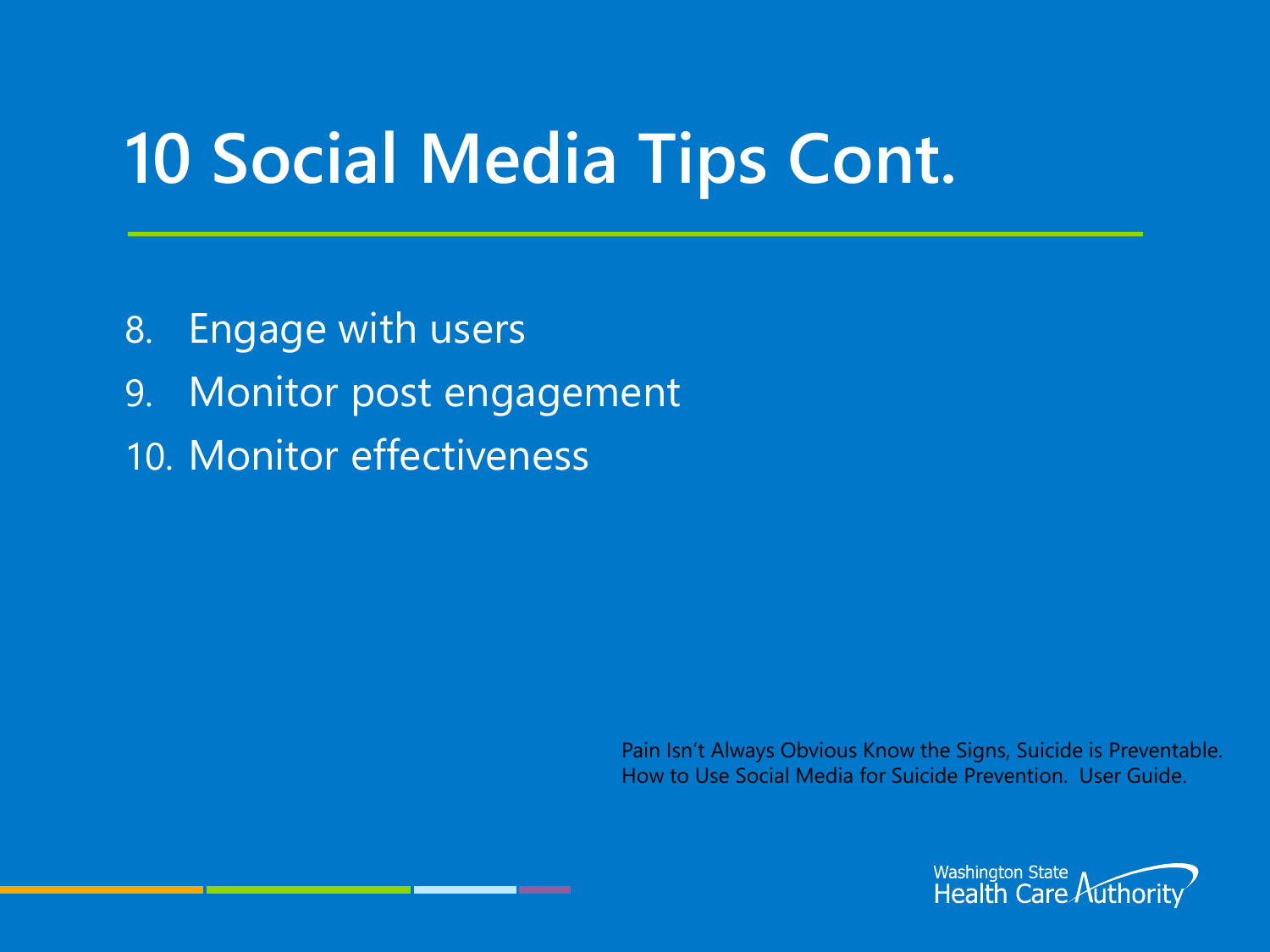### **10 Social Media Tips Cont.**

- 8. Engage with users
- 9. Monitor post engagement
- 10. Monitor effectiveness

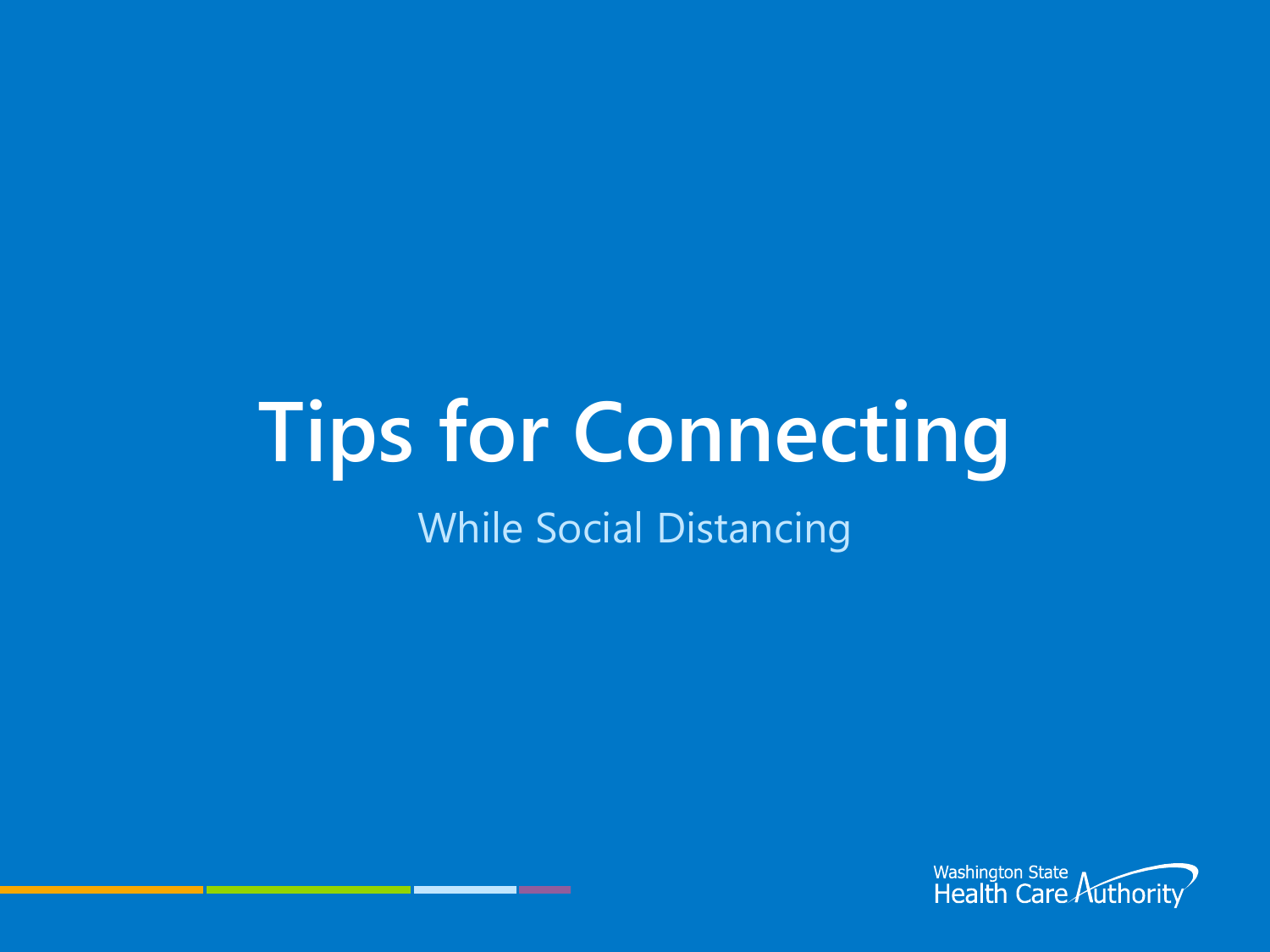# **Tips for Connecting**

#### While Social Distancing

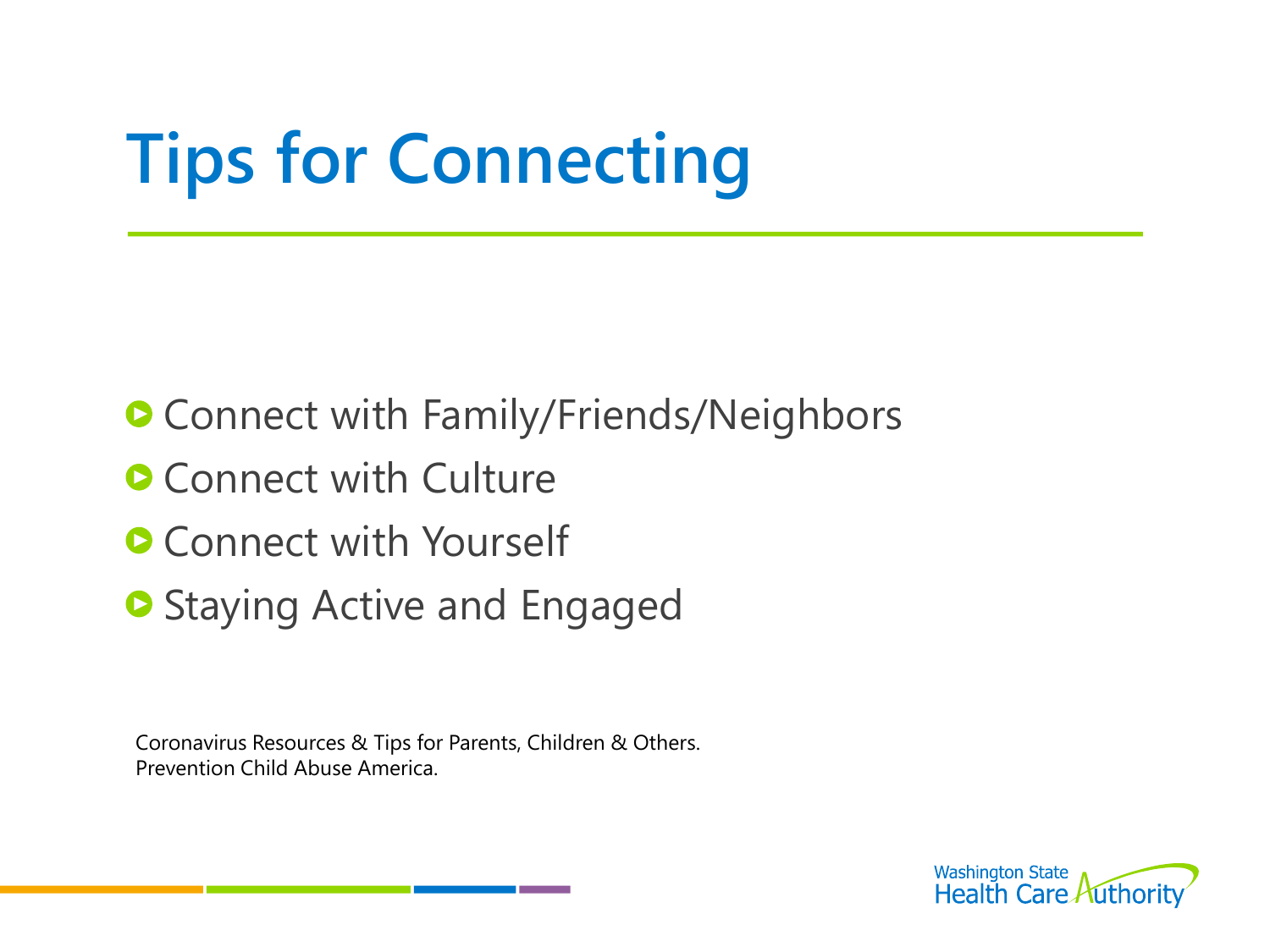# **Tips for Connecting**

- **Connect with Family/Friends/Neighbors**
- **Connect with Culture**
- **Connect with Yourself**
- **Staying Active and Engaged**

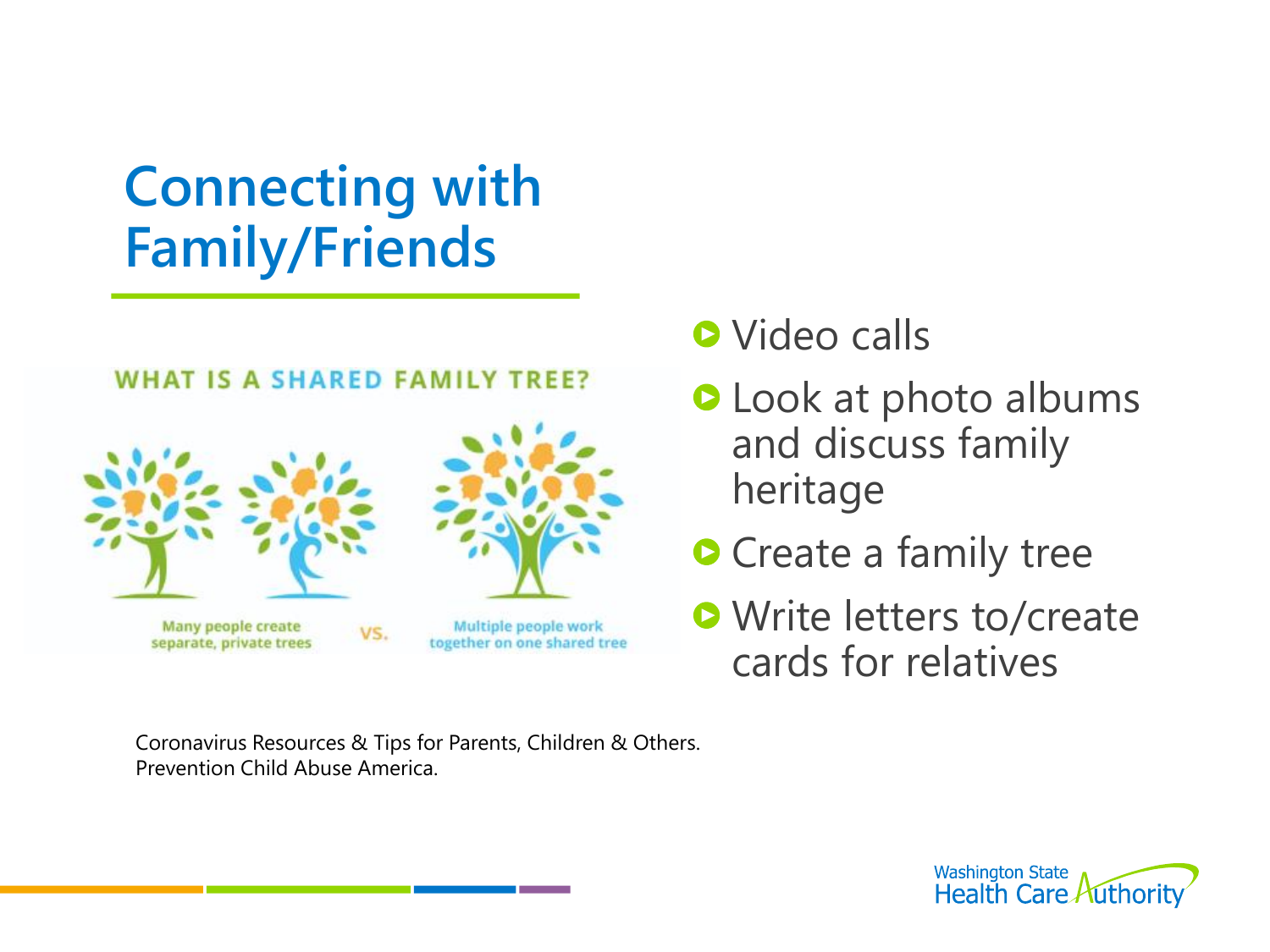#### **WHAT IS A SHARED FAMILY TREE?**



- **O** Video calls
- **O** Look at photo albums and discuss family heritage
- **O** Create a family tree
- **O** Write letters to/create cards for relatives

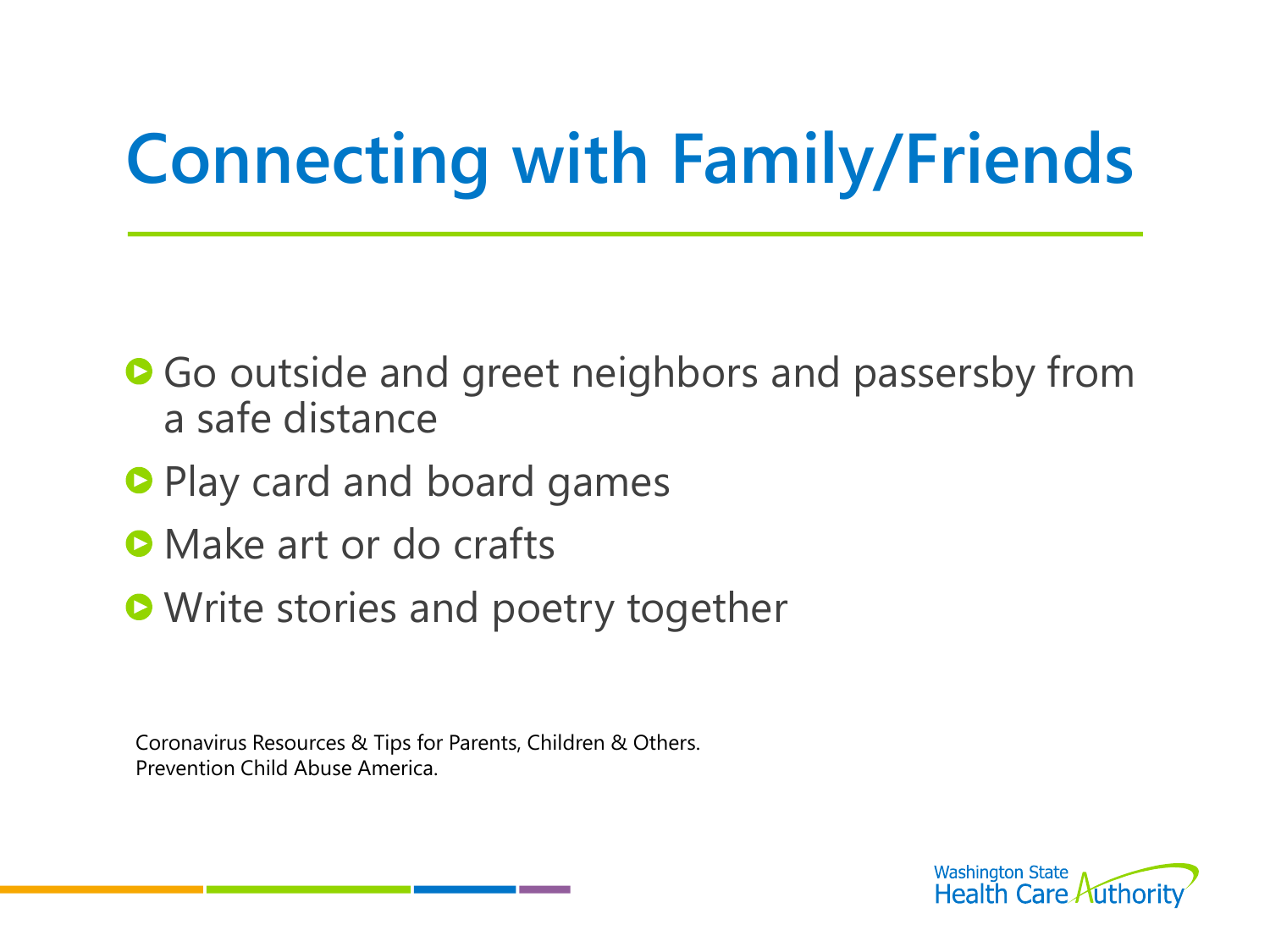- Go outside and greet neighbors and passersby from a safe distance
- **Play card and board games**
- **O** Make art or do crafts
- **Write stories and poetry together**

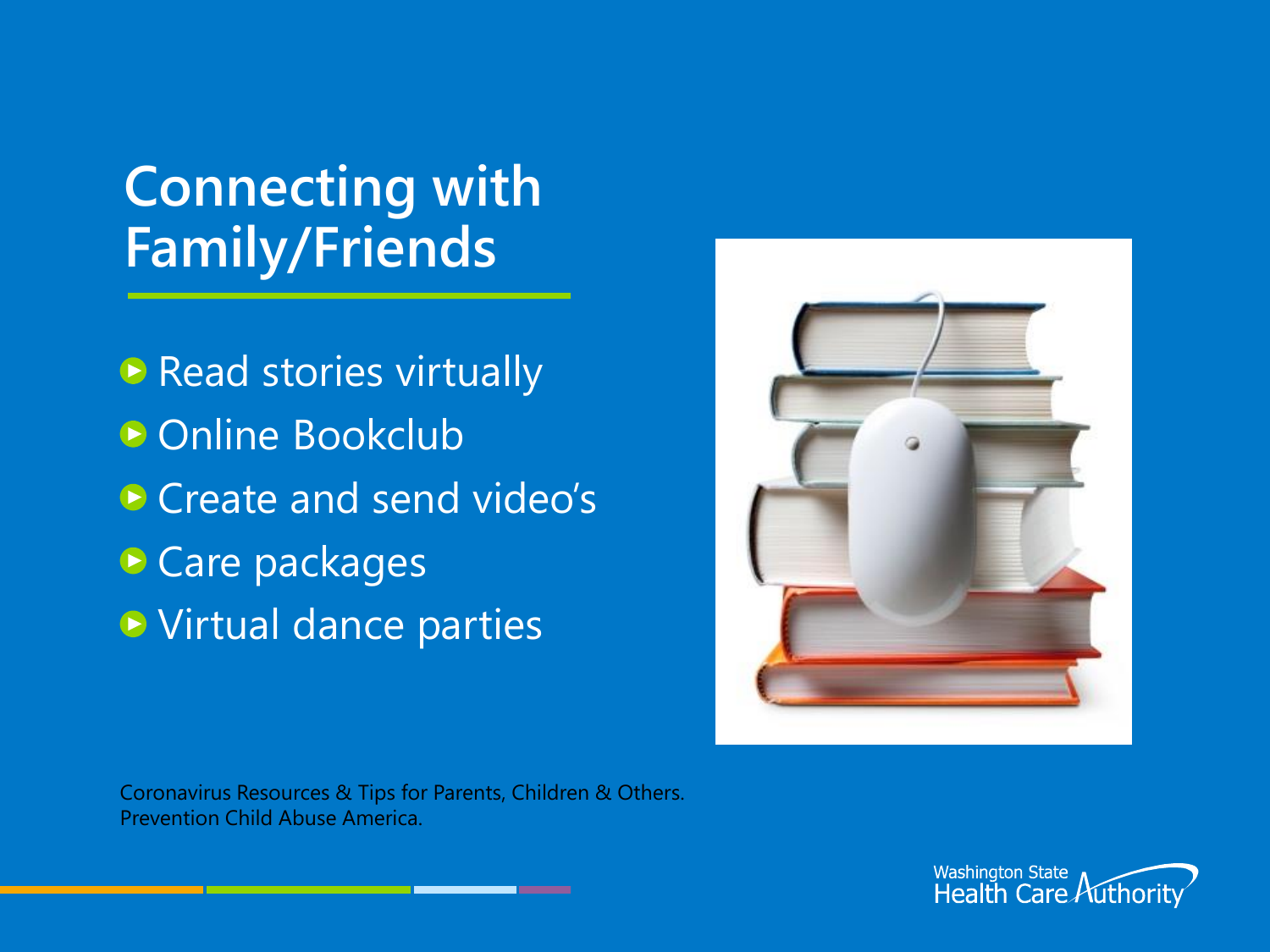**Read stories virtually** ● Online Bookclub Create and send video's **• Care packages • Virtual dance parties** 



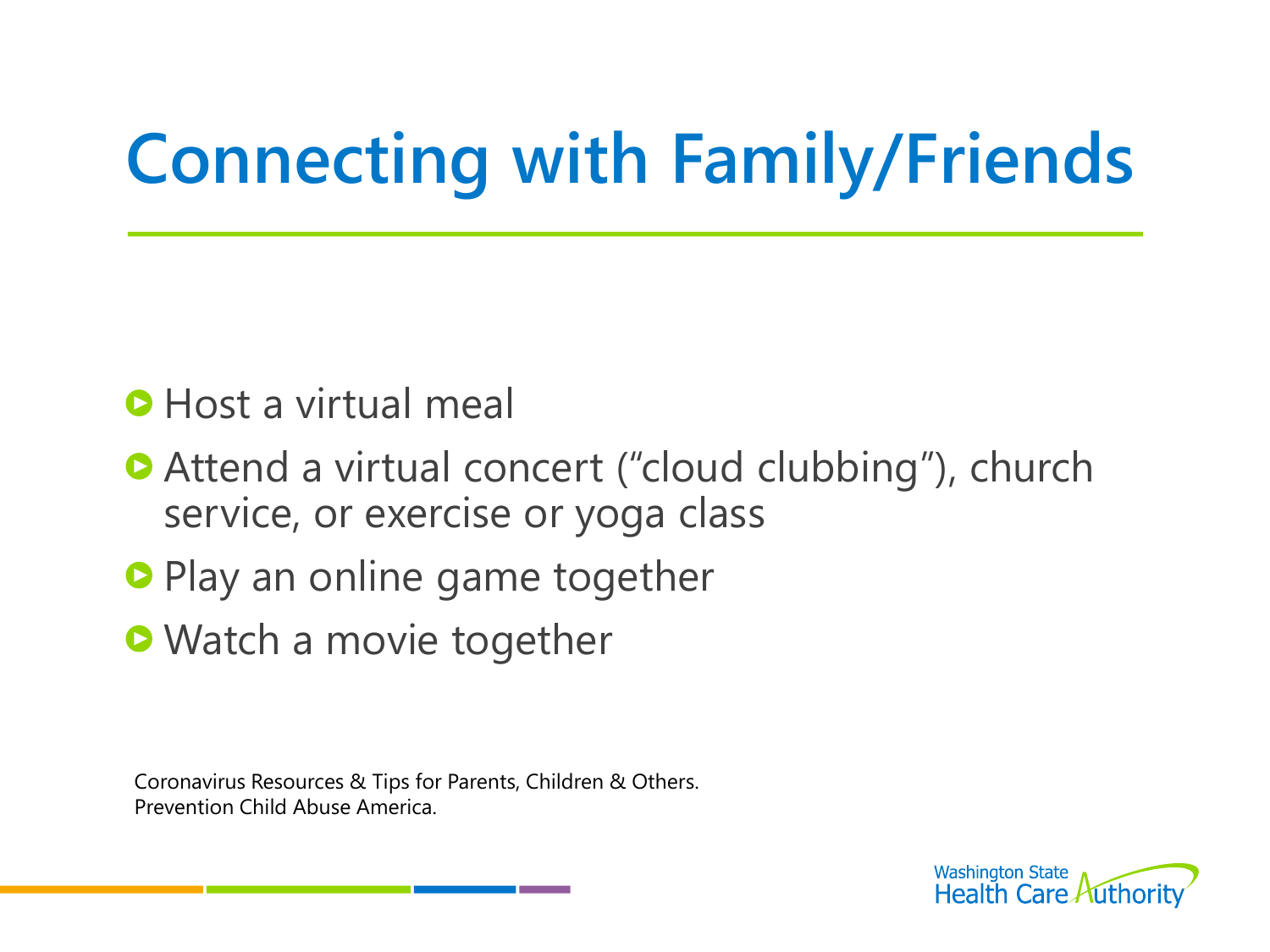#### **O** Host a virtual meal

- **Attend a virtual concert ("cloud clubbing"), church** service, or exercise or yoga class
- **Play an online game together**
- **O** Watch a movie together

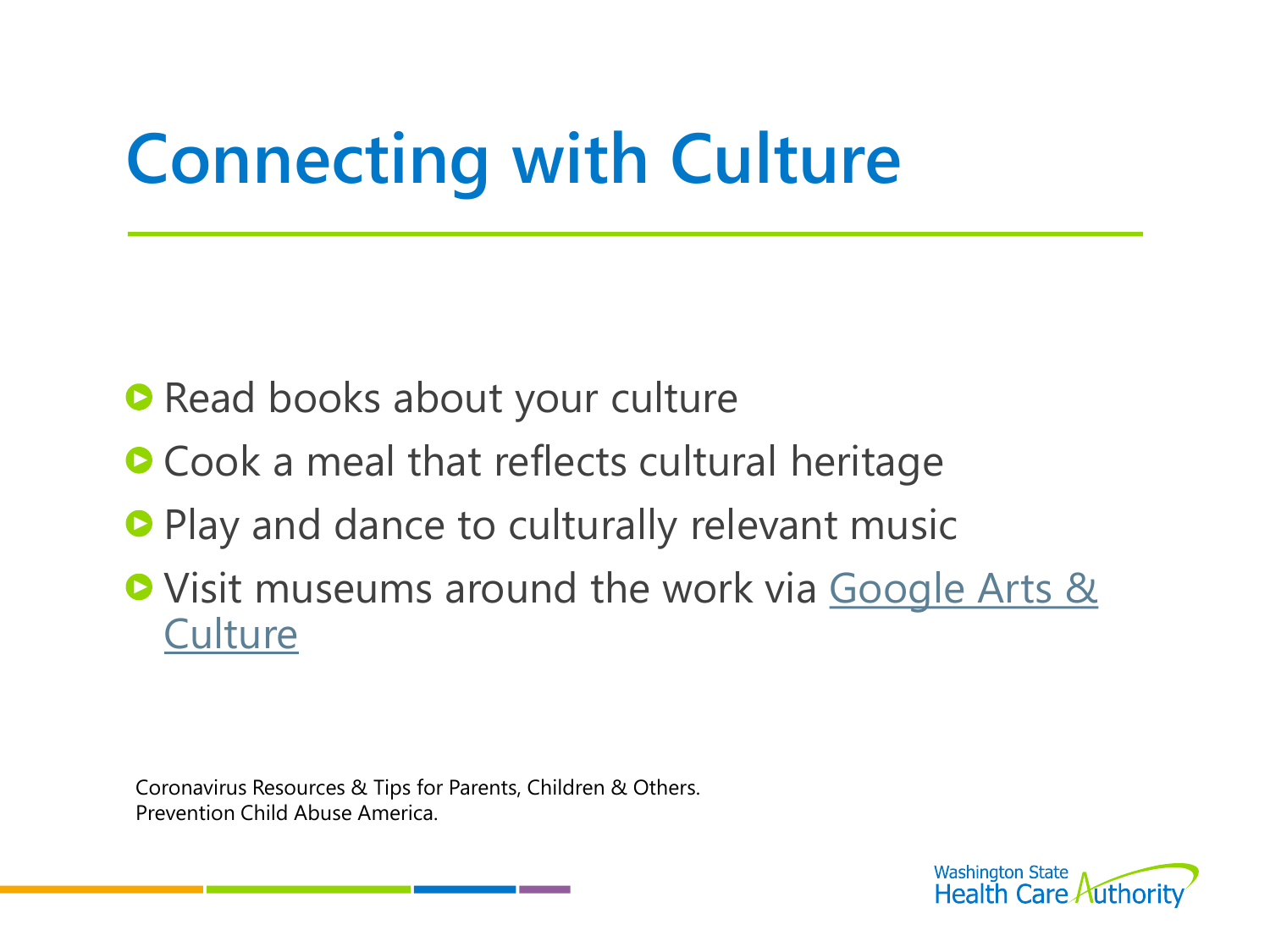# **Connecting with Culture**

- **Read books about your culture**
- **Cook a meal that reflects cultural heritage**
- **Play and dance to culturally relevant music**
- O Visit museums around the work via Google Arts & **Culture**

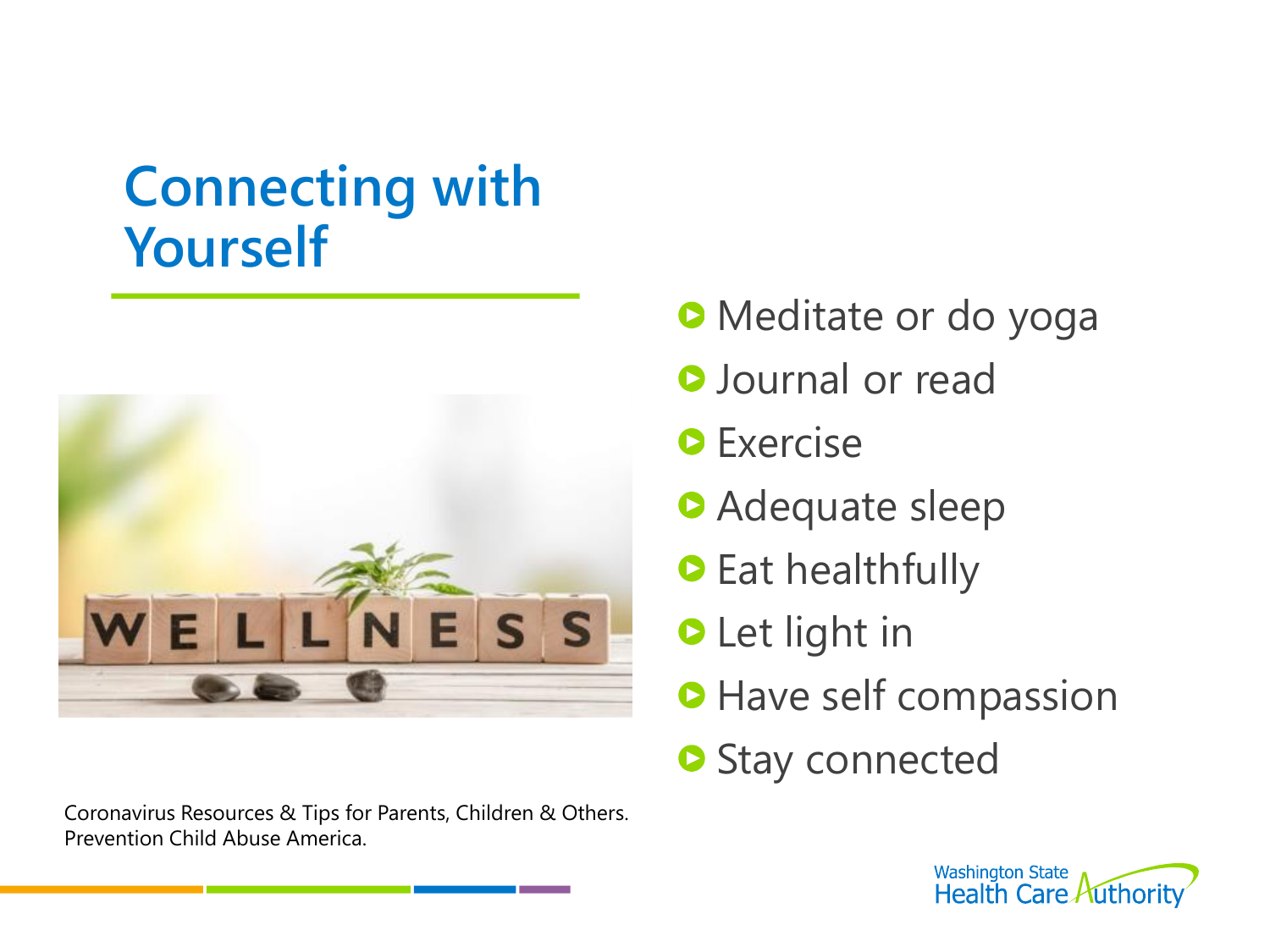#### **Connecting with Yourself**



- **Meditate or do yoga**
- **O** Journal or read
- **O** Exercise
- **Adequate sleep**
- **C** Eat healthfully
- **O** Let light in
- **Have self compassion**
- **O** Stay connected

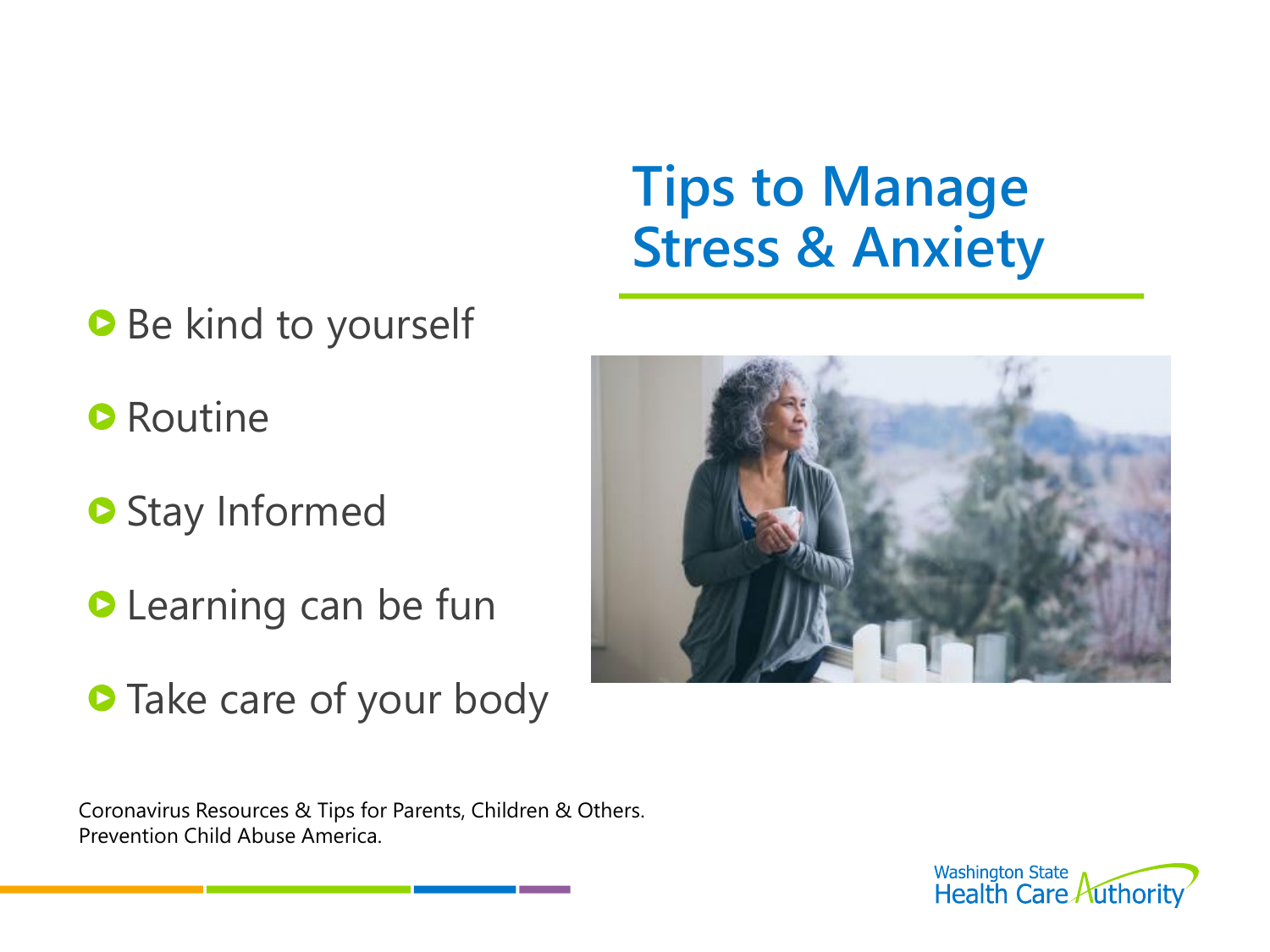#### **Tips to Manage Stress & Anxiety**

- **Be kind to yourself**
- **O** Routine
- **O** Stay Informed
- **C** Learning can be fun
- **Take care of your body**



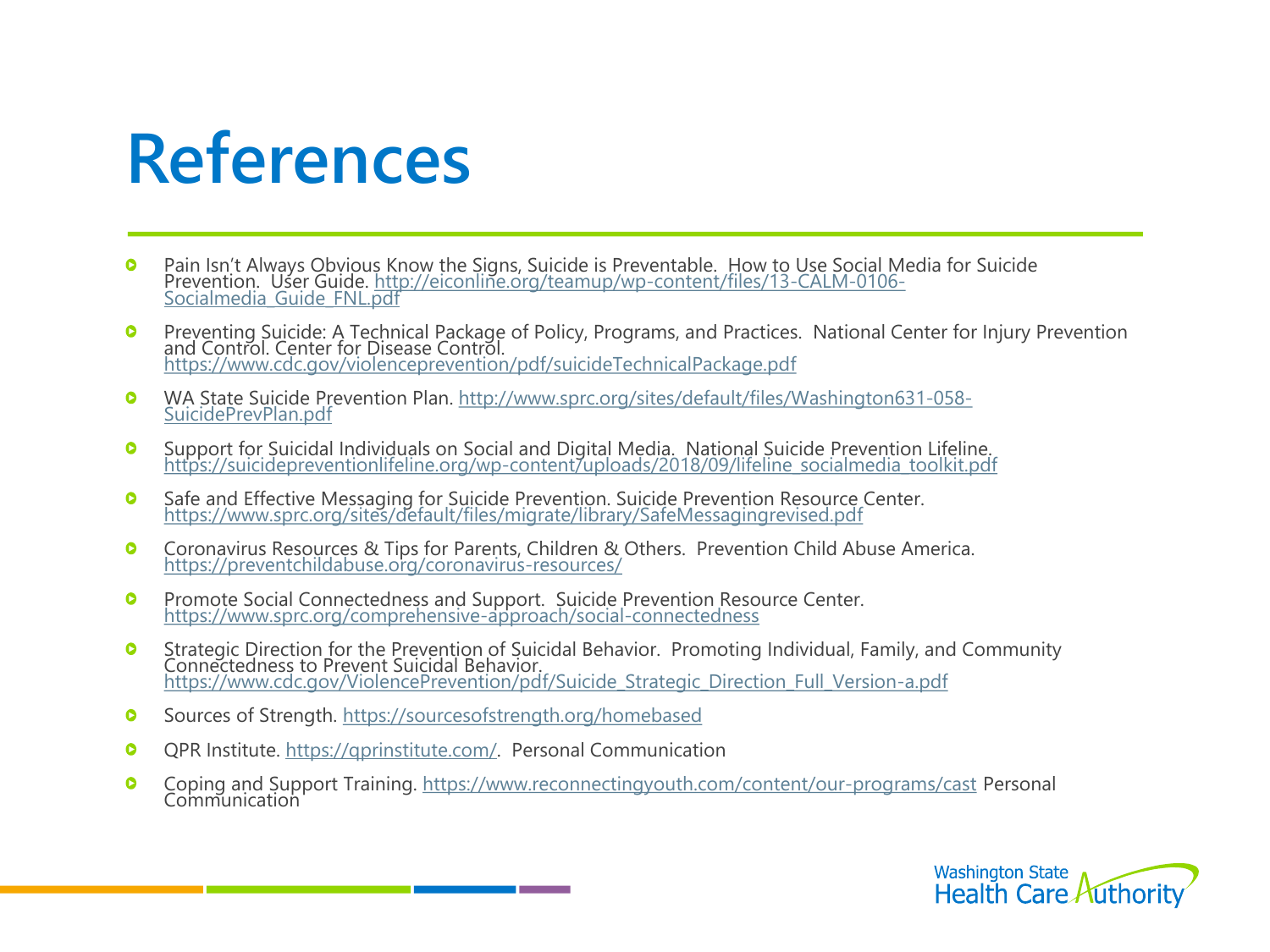#### **References**

- $\bullet$ Pain Isn't Always Obvious Know the Signs, Suicide is Preventable. How to Use Social Media for Suicide [Prevention. User Guide. http://eiconline.org/teamup/wp-content/files/13-CALM-0106-](http://eiconline.org/teamup/wp-content/files/13-CALM-0106-Socialmedia_Guide_FNL.pdf) Socialmedia\_Guide\_FNL.pdf
- Preventing Suicide: A Technical Package of Policy, Programs, and Practices. National Center for Injury Prevention  $\bullet$ and Control. Center for Disease Control. <https://www.cdc.gov/violenceprevention/pdf/suicideTechnicalPackage.pdf>
- [WA State Suicide Prevention Plan. http://www.sprc.org/sites/default/files/Washington631-058-](http://www.sprc.org/sites/default/files/Washington631-058-SuicidePrevPlan.pdf)  $\bullet$ SuicidePrevPlan.pdf
- Support for Suicidal Individuals on Social and Digital Media. National Suicide Prevention Lifeline.  $\bullet$ [https://suicidepreventionlifeline.org/wp-content/uploads/2018/09/lifeline\\_socialmedia\\_toolkit.pdf](https://suicidepreventionlifeline.org/wp-content/uploads/2018/09/lifeline_socialmedia_toolkit.pdf)
- Safe and Effective Messaging for Suicide Prevention. Suicide Prevention Resource Center.  $\bullet$ <https://www.sprc.org/sites/default/files/migrate/library/SafeMessagingrevised.pdf>
- $\bullet$ Coronavirus Resources & Tips for Parents, Children & Others. Prevention Child Abuse America. <https://preventchildabuse.org/coronavirus-resources/>
- $\bullet$ Promote Social Connectedness and Support. Suicide Prevention Resource Center. <https://www.sprc.org/comprehensive-approach/social-connectedness>
- Strategic Direction for the Prevention of Suicidal Behavior. Promoting Individual, Family, and Community  $\bullet$ Connectedness to Prevent Suicidal Behavior. [https://www.cdc.gov/ViolencePrevention/pdf/Suicide\\_Strategic\\_Direction\\_Full\\_Version-a.pdf](https://www.cdc.gov/ViolencePrevention/pdf/Suicide_Strategic_Direction_Full_Version-a.pdf)
- Sources of Strength.<https://sourcesofstrength.org/homebased>  $\bullet$
- QPR Institute. [https://qprinstitute.com/.](https://qprinstitute.com/) Personal Communication  $\bullet$
- Coping and Support Training. <https://www.reconnectingyouth.com/content/our-programs/cast> Personal  $\bullet$ Communication